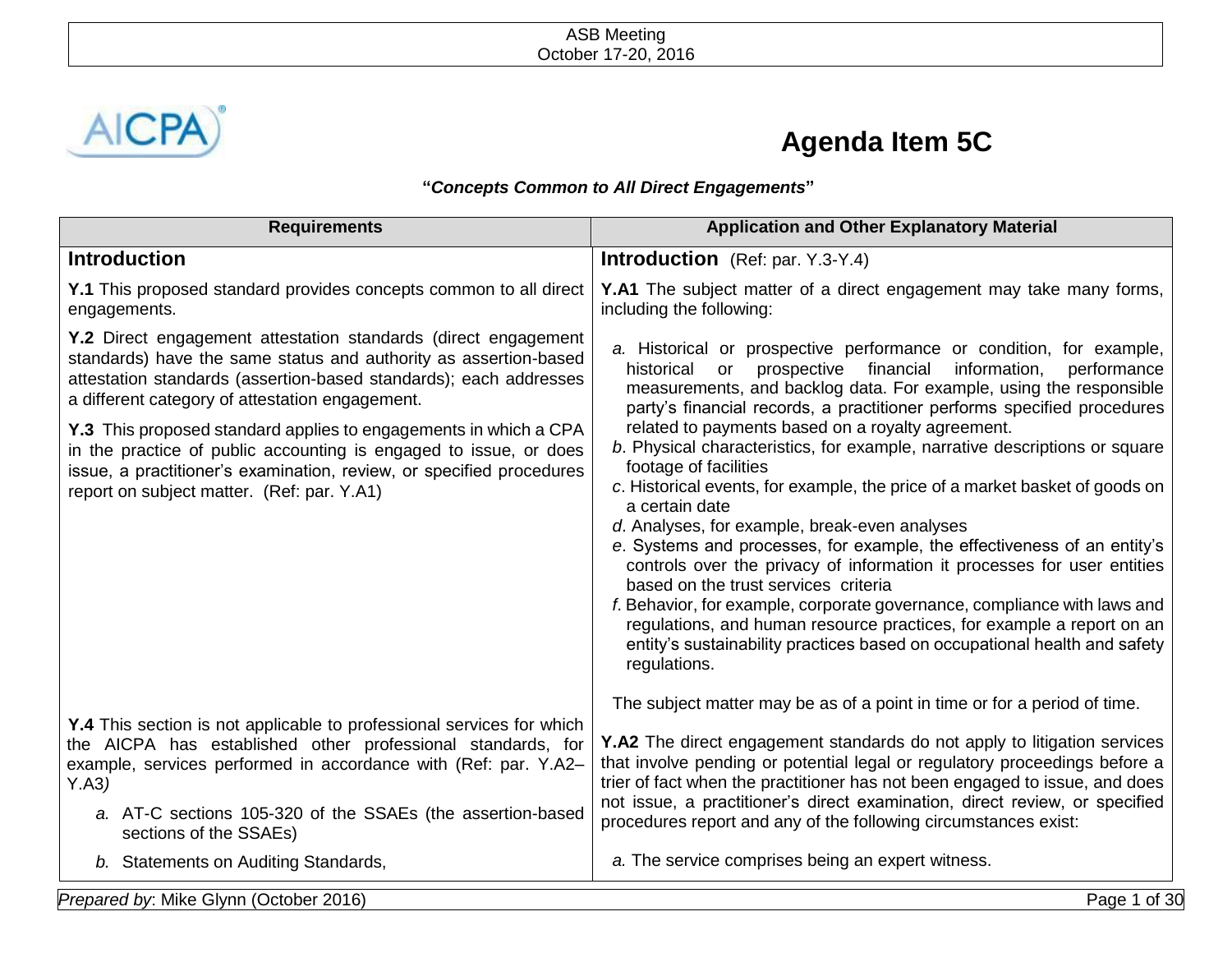

## **Agenda Item 5C**

## **"***Concepts Common to All Direct Engagements***"**

| <b>Requirements</b>                                                                                                                                                                                                                                                                                      | <b>Application and Other Explanatory Material</b>                                                                                                                                                                                                                                                                                                                                                                                                                                                                                                                                                                                                                                                                                                          |
|----------------------------------------------------------------------------------------------------------------------------------------------------------------------------------------------------------------------------------------------------------------------------------------------------------|------------------------------------------------------------------------------------------------------------------------------------------------------------------------------------------------------------------------------------------------------------------------------------------------------------------------------------------------------------------------------------------------------------------------------------------------------------------------------------------------------------------------------------------------------------------------------------------------------------------------------------------------------------------------------------------------------------------------------------------------------------|
| <b>Introduction</b>                                                                                                                                                                                                                                                                                      | <b>Introduction</b> (Ref: par. Y.3-Y.4)                                                                                                                                                                                                                                                                                                                                                                                                                                                                                                                                                                                                                                                                                                                    |
| Y.1 This proposed standard provides concepts common to all direct<br>engagements.                                                                                                                                                                                                                        | Y.A1 The subject matter of a direct engagement may take many forms,<br>including the following:                                                                                                                                                                                                                                                                                                                                                                                                                                                                                                                                                                                                                                                            |
| Y.2 Direct engagement attestation standards (direct engagement<br>standards) have the same status and authority as assertion-based<br>attestation standards (assertion-based standards); each addresses<br>a different category of attestation engagement.                                               | a. Historical or prospective performance or condition, for example,<br>information,<br>historical or<br>prospective financial<br>performance<br>measurements, and backlog data. For example, using the responsible<br>party's financial records, a practitioner performs specified procedures                                                                                                                                                                                                                                                                                                                                                                                                                                                              |
| Y.3 This proposed standard applies to engagements in which a CPA<br>in the practice of public accounting is engaged to issue, or does<br>issue, a practitioner's examination, review, or specified procedures<br>report on subject matter. (Ref: par. Y.A1)                                              | related to payments based on a royalty agreement.<br>b. Physical characteristics, for example, narrative descriptions or square<br>footage of facilities<br>c. Historical events, for example, the price of a market basket of goods on<br>a certain date<br>d. Analyses, for example, break-even analyses<br>e. Systems and processes, for example, the effectiveness of an entity's<br>controls over the privacy of information it processes for user entities<br>based on the trust services criteria<br>f. Behavior, for example, corporate governance, compliance with laws and<br>regulations, and human resource practices, for example a report on an<br>entity's sustainability practices based on occupational health and safety<br>regulations. |
| Y.4 This section is not applicable to professional services for which<br>the AICPA has established other professional standards, for<br>example, services performed in accordance with (Ref: par. Y.A2-<br>Y.A3)<br>a. AT-C sections 105-320 of the SSAEs (the assertion-based<br>sections of the SSAEs) | The subject matter may be as of a point in time or for a period of time.<br><b>Y.A2</b> The direct engagement standards do not apply to litigation services<br>that involve pending or potential legal or regulatory proceedings before a<br>trier of fact when the practitioner has not been engaged to issue, and does<br>not issue, a practitioner's direct examination, direct review, or specified<br>procedures report and any of the following circumstances exist:                                                                                                                                                                                                                                                                                 |
| b. Statements on Auditing Standards,                                                                                                                                                                                                                                                                     | a. The service comprises being an expert witness.                                                                                                                                                                                                                                                                                                                                                                                                                                                                                                                                                                                                                                                                                                          |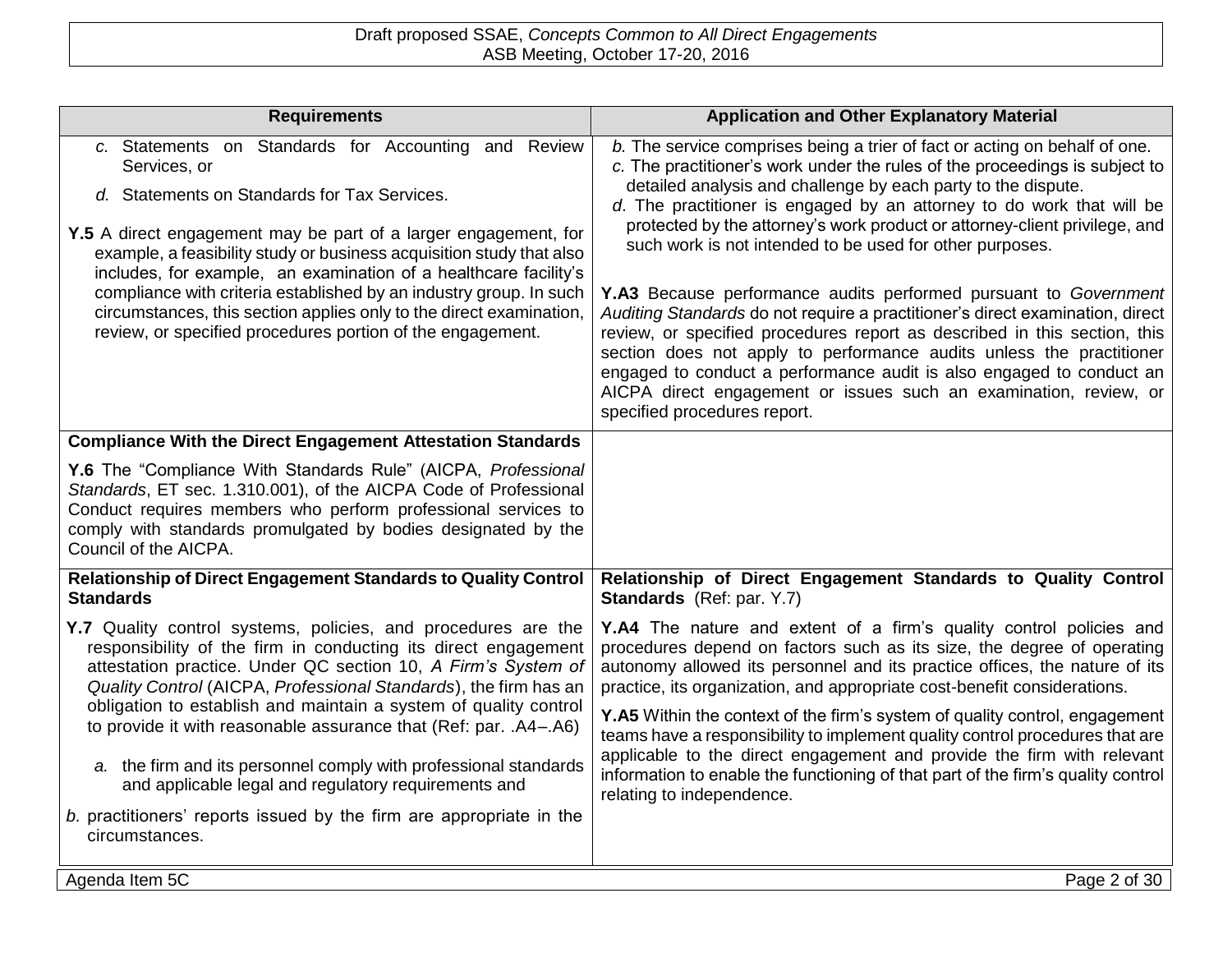| <b>Requirements</b>                                                                                                                                                                                                                                                                                                                                                                                                                                                                                                                            | <b>Application and Other Explanatory Material</b>                                                                                                                                                                                                                                                                                                                                                                                                                                                                                                                                                                                                                                                                                                                                                                                                                                                                                    |
|------------------------------------------------------------------------------------------------------------------------------------------------------------------------------------------------------------------------------------------------------------------------------------------------------------------------------------------------------------------------------------------------------------------------------------------------------------------------------------------------------------------------------------------------|--------------------------------------------------------------------------------------------------------------------------------------------------------------------------------------------------------------------------------------------------------------------------------------------------------------------------------------------------------------------------------------------------------------------------------------------------------------------------------------------------------------------------------------------------------------------------------------------------------------------------------------------------------------------------------------------------------------------------------------------------------------------------------------------------------------------------------------------------------------------------------------------------------------------------------------|
| c. Statements on Standards for Accounting and Review<br>Services, or<br>d. Statements on Standards for Tax Services.<br>Y.5 A direct engagement may be part of a larger engagement, for<br>example, a feasibility study or business acquisition study that also<br>includes, for example, an examination of a healthcare facility's<br>compliance with criteria established by an industry group. In such<br>circumstances, this section applies only to the direct examination,<br>review, or specified procedures portion of the engagement. | b. The service comprises being a trier of fact or acting on behalf of one.<br>c. The practitioner's work under the rules of the proceedings is subject to<br>detailed analysis and challenge by each party to the dispute.<br>d. The practitioner is engaged by an attorney to do work that will be<br>protected by the attorney's work product or attorney-client privilege, and<br>such work is not intended to be used for other purposes.<br>Y.A3 Because performance audits performed pursuant to Government<br>Auditing Standards do not require a practitioner's direct examination, direct<br>review, or specified procedures report as described in this section, this<br>section does not apply to performance audits unless the practitioner<br>engaged to conduct a performance audit is also engaged to conduct an<br>AICPA direct engagement or issues such an examination, review, or<br>specified procedures report. |
| <b>Compliance With the Direct Engagement Attestation Standards</b>                                                                                                                                                                                                                                                                                                                                                                                                                                                                             |                                                                                                                                                                                                                                                                                                                                                                                                                                                                                                                                                                                                                                                                                                                                                                                                                                                                                                                                      |
| Y.6 The "Compliance With Standards Rule" (AICPA, Professional<br>Standards, ET sec. 1.310.001), of the AICPA Code of Professional<br>Conduct requires members who perform professional services to<br>comply with standards promulgated by bodies designated by the<br>Council of the AICPA.                                                                                                                                                                                                                                                   |                                                                                                                                                                                                                                                                                                                                                                                                                                                                                                                                                                                                                                                                                                                                                                                                                                                                                                                                      |
| <b>Relationship of Direct Engagement Standards to Quality Control</b><br><b>Standards</b>                                                                                                                                                                                                                                                                                                                                                                                                                                                      | Relationship of Direct Engagement Standards to Quality Control<br>Standards (Ref: par. Y.7)                                                                                                                                                                                                                                                                                                                                                                                                                                                                                                                                                                                                                                                                                                                                                                                                                                          |
| Y.7 Quality control systems, policies, and procedures are the<br>responsibility of the firm in conducting its direct engagement<br>attestation practice. Under QC section 10, A Firm's System of<br>Quality Control (AICPA, Professional Standards), the firm has an<br>obligation to establish and maintain a system of quality control<br>to provide it with reasonable assurance that (Ref: par. .A4-.A6)                                                                                                                                   | Y.A4 The nature and extent of a firm's quality control policies and<br>procedures depend on factors such as its size, the degree of operating<br>autonomy allowed its personnel and its practice offices, the nature of its<br>practice, its organization, and appropriate cost-benefit considerations.<br>Y.A5 Within the context of the firm's system of quality control, engagement<br>teams have a responsibility to implement quality control procedures that are<br>applicable to the direct engagement and provide the firm with relevant                                                                                                                                                                                                                                                                                                                                                                                     |
| a. the firm and its personnel comply with professional standards<br>and applicable legal and regulatory requirements and                                                                                                                                                                                                                                                                                                                                                                                                                       | information to enable the functioning of that part of the firm's quality control<br>relating to independence.                                                                                                                                                                                                                                                                                                                                                                                                                                                                                                                                                                                                                                                                                                                                                                                                                        |
| b. practitioners' reports issued by the firm are appropriate in the<br>circumstances.                                                                                                                                                                                                                                                                                                                                                                                                                                                          |                                                                                                                                                                                                                                                                                                                                                                                                                                                                                                                                                                                                                                                                                                                                                                                                                                                                                                                                      |
| Agenda Item 5C                                                                                                                                                                                                                                                                                                                                                                                                                                                                                                                                 | Page 2 of 30                                                                                                                                                                                                                                                                                                                                                                                                                                                                                                                                                                                                                                                                                                                                                                                                                                                                                                                         |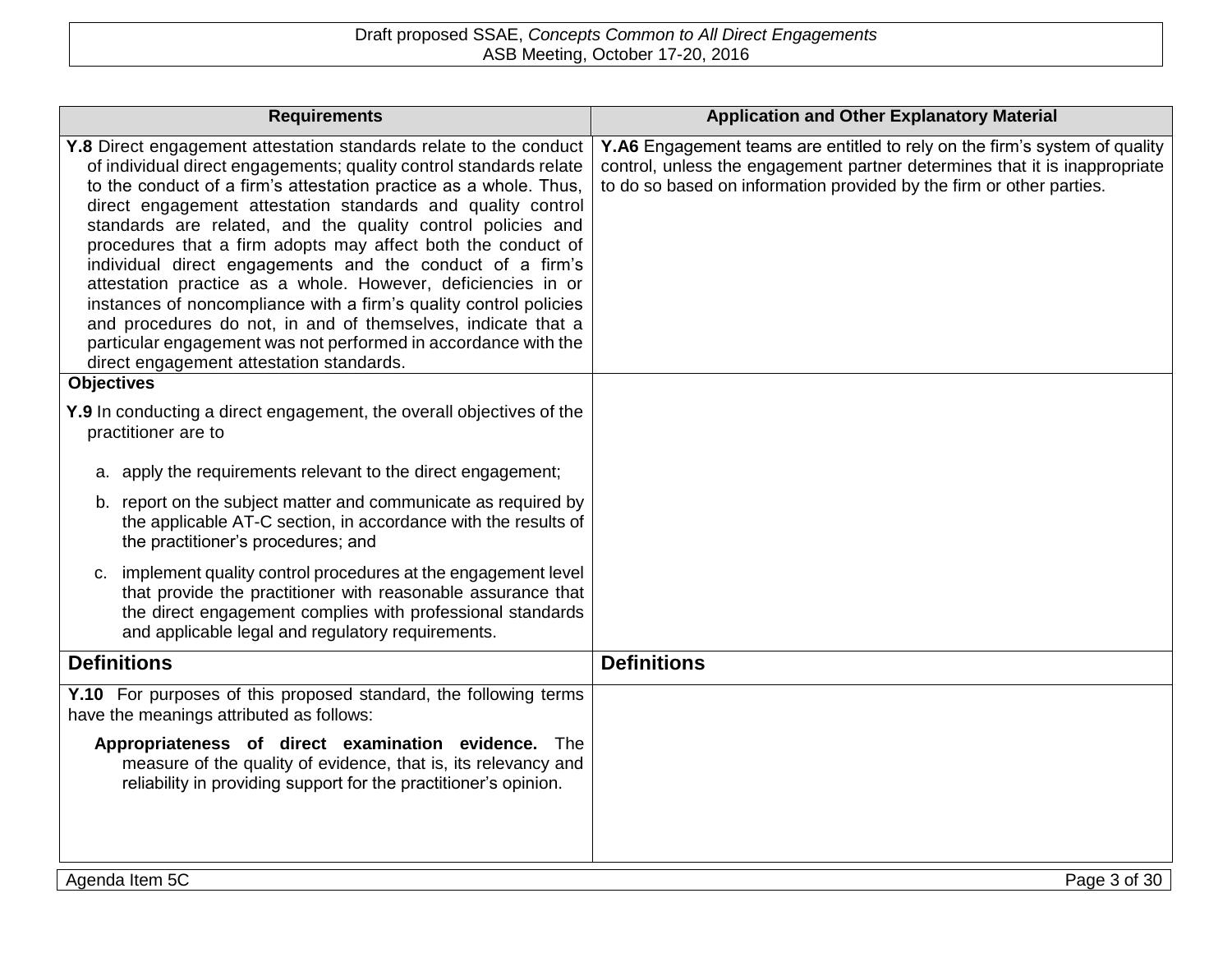| <b>Requirements</b>                                                                                                                                                                                                                                                                                                                                                                                                                                                                                                                                                                                                                                                                                                                                                                        | <b>Application and Other Explanatory Material</b>                                                                                                                                                                                |
|--------------------------------------------------------------------------------------------------------------------------------------------------------------------------------------------------------------------------------------------------------------------------------------------------------------------------------------------------------------------------------------------------------------------------------------------------------------------------------------------------------------------------------------------------------------------------------------------------------------------------------------------------------------------------------------------------------------------------------------------------------------------------------------------|----------------------------------------------------------------------------------------------------------------------------------------------------------------------------------------------------------------------------------|
| Y.8 Direct engagement attestation standards relate to the conduct<br>of individual direct engagements; quality control standards relate<br>to the conduct of a firm's attestation practice as a whole. Thus,<br>direct engagement attestation standards and quality control<br>standards are related, and the quality control policies and<br>procedures that a firm adopts may affect both the conduct of<br>individual direct engagements and the conduct of a firm's<br>attestation practice as a whole. However, deficiencies in or<br>instances of noncompliance with a firm's quality control policies<br>and procedures do not, in and of themselves, indicate that a<br>particular engagement was not performed in accordance with the<br>direct engagement attestation standards. | Y.A6 Engagement teams are entitled to rely on the firm's system of quality<br>control, unless the engagement partner determines that it is inappropriate<br>to do so based on information provided by the firm or other parties. |
| <b>Objectives</b>                                                                                                                                                                                                                                                                                                                                                                                                                                                                                                                                                                                                                                                                                                                                                                          |                                                                                                                                                                                                                                  |
| Y.9 In conducting a direct engagement, the overall objectives of the<br>practitioner are to                                                                                                                                                                                                                                                                                                                                                                                                                                                                                                                                                                                                                                                                                                |                                                                                                                                                                                                                                  |
| a. apply the requirements relevant to the direct engagement;                                                                                                                                                                                                                                                                                                                                                                                                                                                                                                                                                                                                                                                                                                                               |                                                                                                                                                                                                                                  |
| b. report on the subject matter and communicate as required by<br>the applicable AT-C section, in accordance with the results of<br>the practitioner's procedures; and                                                                                                                                                                                                                                                                                                                                                                                                                                                                                                                                                                                                                     |                                                                                                                                                                                                                                  |
| c. implement quality control procedures at the engagement level<br>that provide the practitioner with reasonable assurance that<br>the direct engagement complies with professional standards<br>and applicable legal and regulatory requirements.                                                                                                                                                                                                                                                                                                                                                                                                                                                                                                                                         |                                                                                                                                                                                                                                  |
| <b>Definitions</b>                                                                                                                                                                                                                                                                                                                                                                                                                                                                                                                                                                                                                                                                                                                                                                         | <b>Definitions</b>                                                                                                                                                                                                               |
| Y.10 For purposes of this proposed standard, the following terms<br>have the meanings attributed as follows:                                                                                                                                                                                                                                                                                                                                                                                                                                                                                                                                                                                                                                                                               |                                                                                                                                                                                                                                  |
| Appropriateness of direct examination evidence. The<br>measure of the quality of evidence, that is, its relevancy and<br>reliability in providing support for the practitioner's opinion.                                                                                                                                                                                                                                                                                                                                                                                                                                                                                                                                                                                                  |                                                                                                                                                                                                                                  |
| Agenda Item 5C                                                                                                                                                                                                                                                                                                                                                                                                                                                                                                                                                                                                                                                                                                                                                                             | Page 3 of 30                                                                                                                                                                                                                     |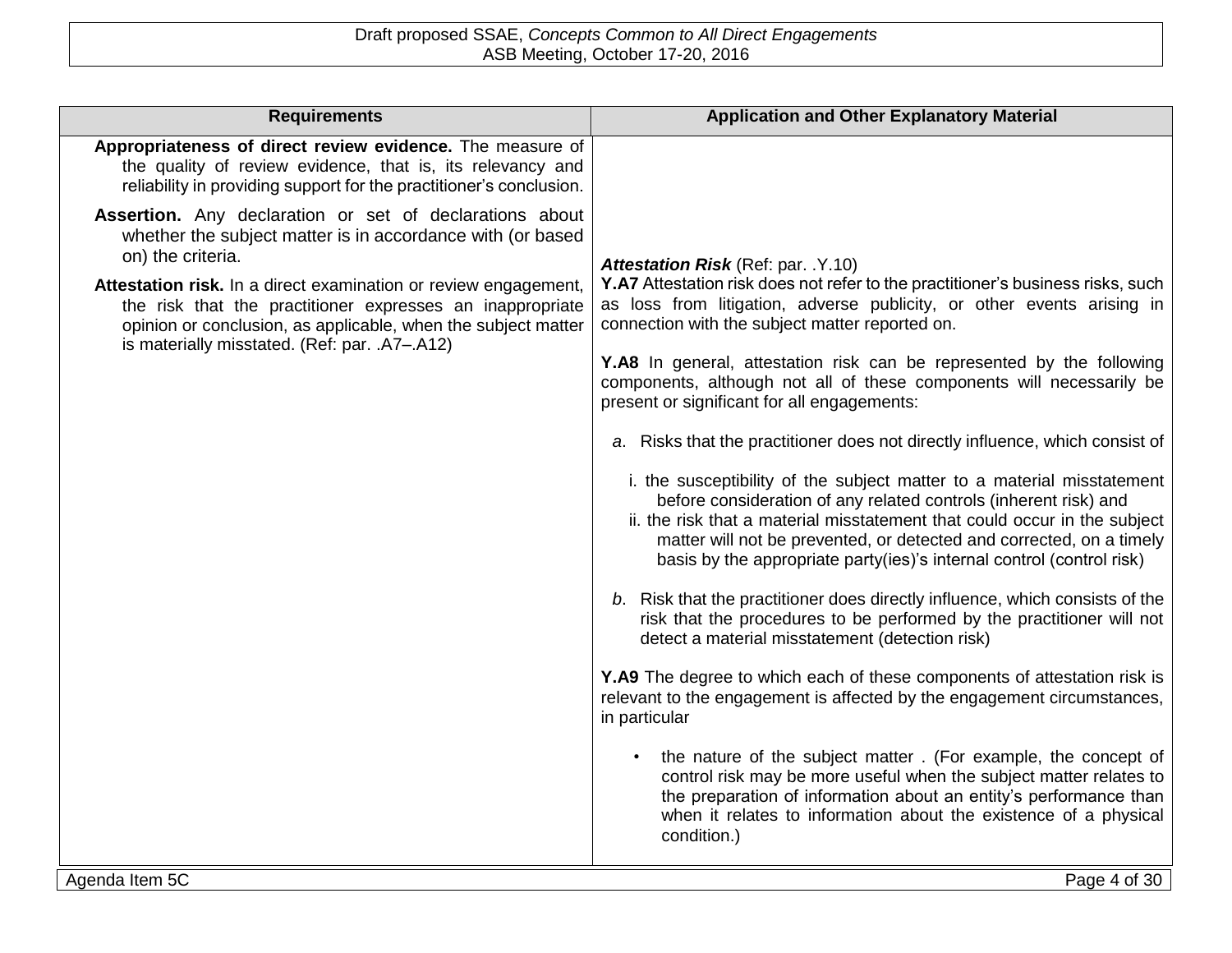| <b>Requirements</b>                                                                                                                                                                                                                                                                                                                                                                                            | <b>Application and Other Explanatory Material</b>                                                                                                                                                                                                                                                                                                                                                                                                                                                                                                                                                                                                                                                                                                                                                                                                                                                                                                                                                                                                                                                                                                                                                                                                                                                                                                                                                                                                                                                                                                                                                                  |
|----------------------------------------------------------------------------------------------------------------------------------------------------------------------------------------------------------------------------------------------------------------------------------------------------------------------------------------------------------------------------------------------------------------|--------------------------------------------------------------------------------------------------------------------------------------------------------------------------------------------------------------------------------------------------------------------------------------------------------------------------------------------------------------------------------------------------------------------------------------------------------------------------------------------------------------------------------------------------------------------------------------------------------------------------------------------------------------------------------------------------------------------------------------------------------------------------------------------------------------------------------------------------------------------------------------------------------------------------------------------------------------------------------------------------------------------------------------------------------------------------------------------------------------------------------------------------------------------------------------------------------------------------------------------------------------------------------------------------------------------------------------------------------------------------------------------------------------------------------------------------------------------------------------------------------------------------------------------------------------------------------------------------------------------|
| Appropriateness of direct review evidence. The measure of<br>the quality of review evidence, that is, its relevancy and<br>reliability in providing support for the practitioner's conclusion.                                                                                                                                                                                                                 |                                                                                                                                                                                                                                                                                                                                                                                                                                                                                                                                                                                                                                                                                                                                                                                                                                                                                                                                                                                                                                                                                                                                                                                                                                                                                                                                                                                                                                                                                                                                                                                                                    |
| Assertion. Any declaration or set of declarations about<br>whether the subject matter is in accordance with (or based<br>on) the criteria.<br>Attestation risk. In a direct examination or review engagement,<br>the risk that the practitioner expresses an inappropriate<br>opinion or conclusion, as applicable, when the subject matter<br>is materially misstated. (Ref: par. .A7-.A12)<br>Agenda Item 5C | Attestation Risk (Ref: par. .Y.10)<br>Y.A7 Attestation risk does not refer to the practitioner's business risks, such<br>as loss from litigation, adverse publicity, or other events arising in<br>connection with the subject matter reported on.<br>Y.A8 In general, attestation risk can be represented by the following<br>components, although not all of these components will necessarily be<br>present or significant for all engagements:<br>a. Risks that the practitioner does not directly influence, which consist of<br>i. the susceptibility of the subject matter to a material misstatement<br>before consideration of any related controls (inherent risk) and<br>ii. the risk that a material misstatement that could occur in the subject<br>matter will not be prevented, or detected and corrected, on a timely<br>basis by the appropriate party(ies)'s internal control (control risk)<br>b. Risk that the practitioner does directly influence, which consists of the<br>risk that the procedures to be performed by the practitioner will not<br>detect a material misstatement (detection risk)<br>Y.A9 The degree to which each of these components of attestation risk is<br>relevant to the engagement is affected by the engagement circumstances,<br>in particular<br>the nature of the subject matter. (For example, the concept of<br>control risk may be more useful when the subject matter relates to<br>the preparation of information about an entity's performance than<br>when it relates to information about the existence of a physical<br>condition.)<br>Page 4 of 30 |
|                                                                                                                                                                                                                                                                                                                                                                                                                |                                                                                                                                                                                                                                                                                                                                                                                                                                                                                                                                                                                                                                                                                                                                                                                                                                                                                                                                                                                                                                                                                                                                                                                                                                                                                                                                                                                                                                                                                                                                                                                                                    |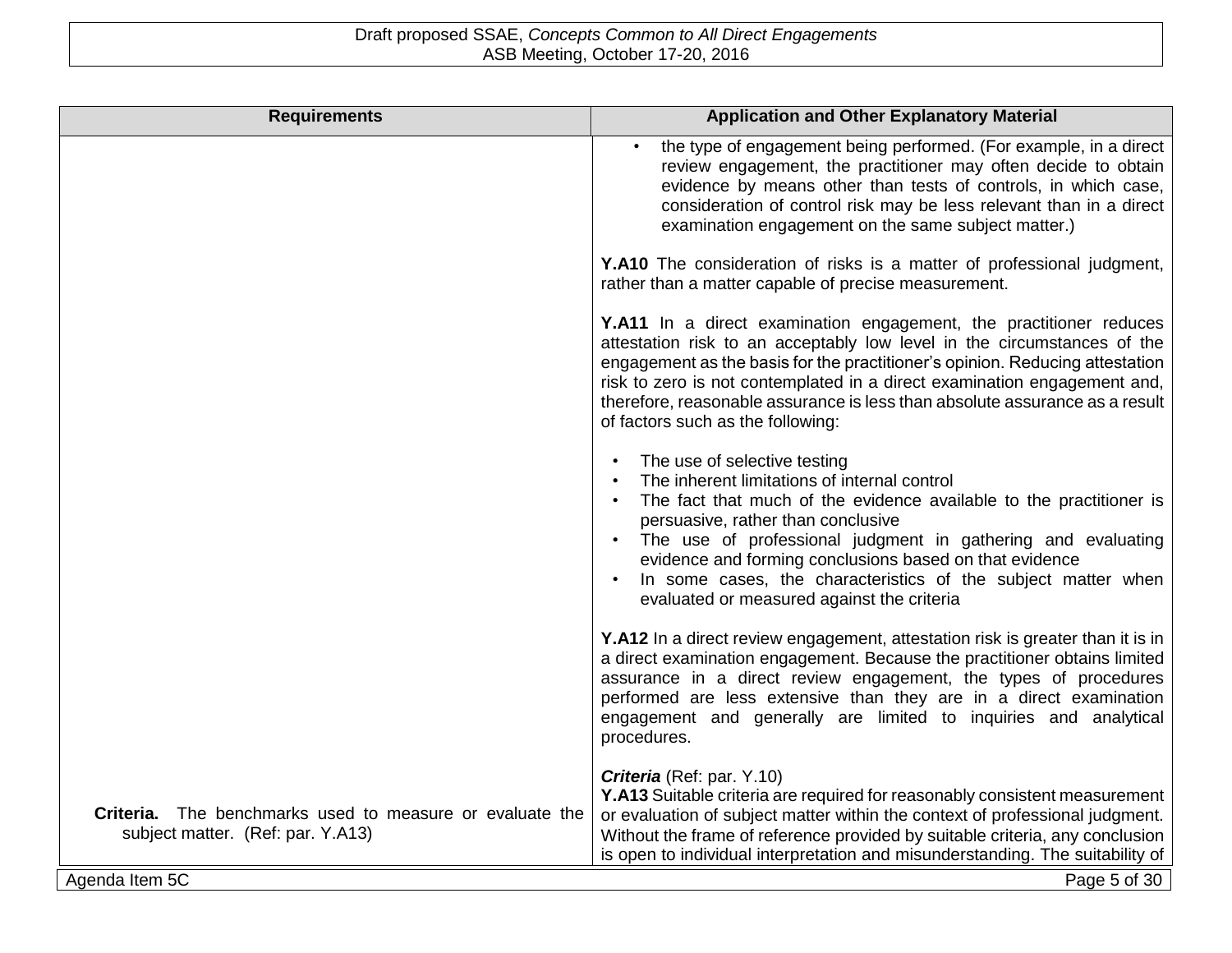| <b>Requirements</b>                                                                           | <b>Application and Other Explanatory Material</b>                                                                                                                                                                                                                                                                                                                                                                                   |
|-----------------------------------------------------------------------------------------------|-------------------------------------------------------------------------------------------------------------------------------------------------------------------------------------------------------------------------------------------------------------------------------------------------------------------------------------------------------------------------------------------------------------------------------------|
|                                                                                               | the type of engagement being performed. (For example, in a direct<br>$\bullet$<br>review engagement, the practitioner may often decide to obtain<br>evidence by means other than tests of controls, in which case,<br>consideration of control risk may be less relevant than in a direct<br>examination engagement on the same subject matter.)                                                                                    |
|                                                                                               | Y.A10 The consideration of risks is a matter of professional judgment,<br>rather than a matter capable of precise measurement.                                                                                                                                                                                                                                                                                                      |
|                                                                                               | Y.A11 In a direct examination engagement, the practitioner reduces<br>attestation risk to an acceptably low level in the circumstances of the<br>engagement as the basis for the practitioner's opinion. Reducing attestation<br>risk to zero is not contemplated in a direct examination engagement and,<br>therefore, reasonable assurance is less than absolute assurance as a result<br>of factors such as the following:       |
|                                                                                               | The use of selective testing<br>The inherent limitations of internal control<br>The fact that much of the evidence available to the practitioner is<br>persuasive, rather than conclusive<br>The use of professional judgment in gathering and evaluating<br>evidence and forming conclusions based on that evidence<br>In some cases, the characteristics of the subject matter when<br>evaluated or measured against the criteria |
|                                                                                               | Y.A12 In a direct review engagement, attestation risk is greater than it is in<br>a direct examination engagement. Because the practitioner obtains limited<br>assurance in a direct review engagement, the types of procedures<br>performed are less extensive than they are in a direct examination<br>engagement and generally are limited to inquiries and analytical<br>procedures.                                            |
| Criteria. The benchmarks used to measure or evaluate the<br>subject matter. (Ref: par. Y.A13) | Criteria (Ref: par. Y.10)<br>Y.A13 Suitable criteria are required for reasonably consistent measurement<br>or evaluation of subject matter within the context of professional judgment.<br>Without the frame of reference provided by suitable criteria, any conclusion<br>is open to individual interpretation and misunderstanding. The suitability of                                                                            |
| Agenda Item 5C                                                                                | Page 5 of 30                                                                                                                                                                                                                                                                                                                                                                                                                        |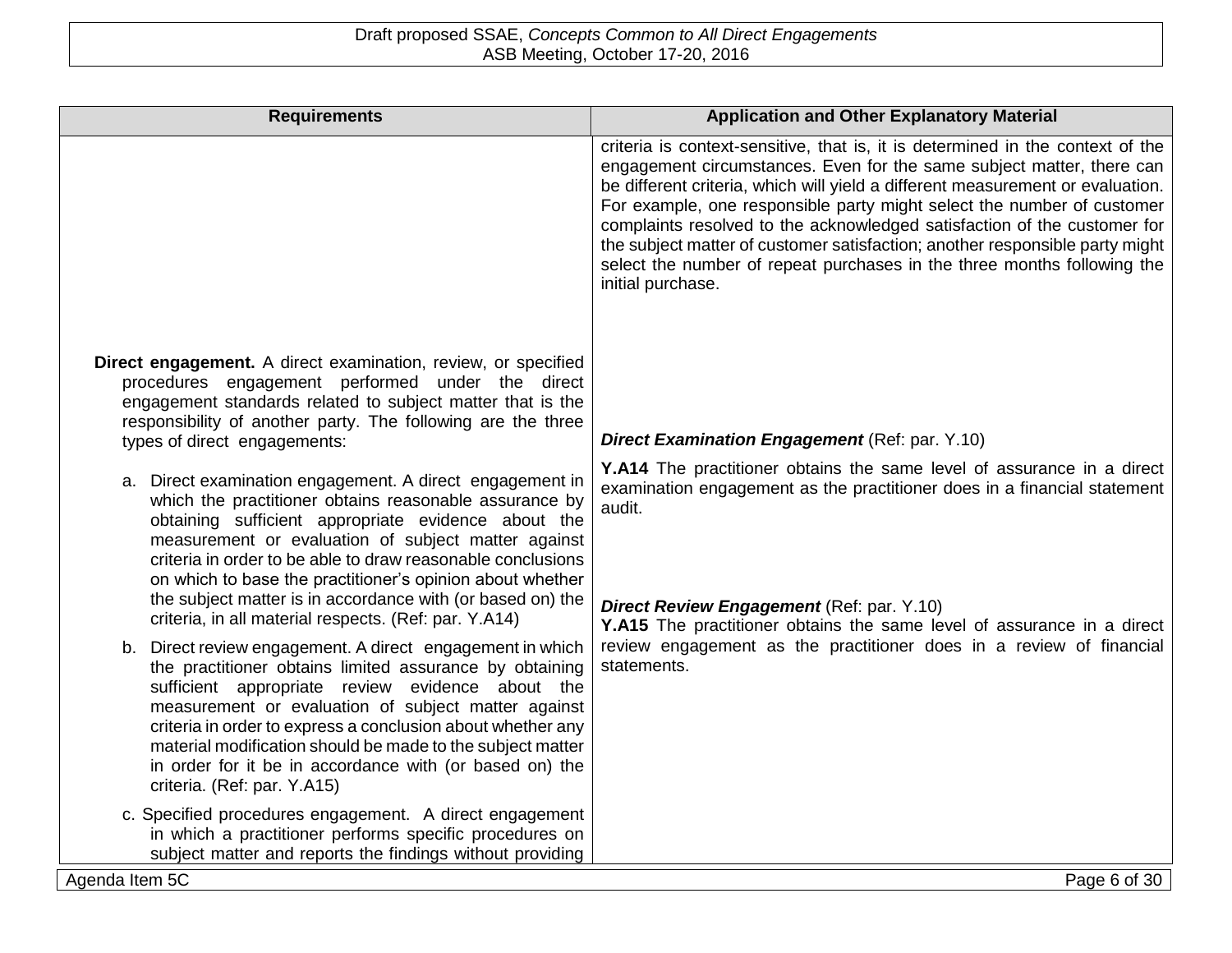| <b>Requirements</b>                                                                                                                                                                                                                                                                                                                                                                                                                                    | <b>Application and Other Explanatory Material</b>                                                                                                                                                                                                                                                                                                                                                                                                                                                                                                                               |
|--------------------------------------------------------------------------------------------------------------------------------------------------------------------------------------------------------------------------------------------------------------------------------------------------------------------------------------------------------------------------------------------------------------------------------------------------------|---------------------------------------------------------------------------------------------------------------------------------------------------------------------------------------------------------------------------------------------------------------------------------------------------------------------------------------------------------------------------------------------------------------------------------------------------------------------------------------------------------------------------------------------------------------------------------|
|                                                                                                                                                                                                                                                                                                                                                                                                                                                        | criteria is context-sensitive, that is, it is determined in the context of the<br>engagement circumstances. Even for the same subject matter, there can<br>be different criteria, which will yield a different measurement or evaluation.<br>For example, one responsible party might select the number of customer<br>complaints resolved to the acknowledged satisfaction of the customer for<br>the subject matter of customer satisfaction; another responsible party might<br>select the number of repeat purchases in the three months following the<br>initial purchase. |
| Direct engagement. A direct examination, review, or specified<br>procedures engagement performed under the direct<br>engagement standards related to subject matter that is the<br>responsibility of another party. The following are the three<br>types of direct engagements:<br>a. Direct examination engagement. A direct engagement in                                                                                                            | <b>Direct Examination Engagement (Ref: par. Y.10)</b><br>Y.A14 The practitioner obtains the same level of assurance in a direct                                                                                                                                                                                                                                                                                                                                                                                                                                                 |
| which the practitioner obtains reasonable assurance by<br>obtaining sufficient appropriate evidence about the<br>measurement or evaluation of subject matter against<br>criteria in order to be able to draw reasonable conclusions<br>on which to base the practitioner's opinion about whether<br>the subject matter is in accordance with (or based on) the<br>criteria, in all material respects. (Ref: par. Y.A14)                                | examination engagement as the practitioner does in a financial statement<br>audit.<br>Direct Review Engagement (Ref: par. Y.10)<br>Y.A15 The practitioner obtains the same level of assurance in a direct                                                                                                                                                                                                                                                                                                                                                                       |
| b. Direct review engagement. A direct engagement in which<br>the practitioner obtains limited assurance by obtaining<br>sufficient appropriate review evidence about the<br>measurement or evaluation of subject matter against<br>criteria in order to express a conclusion about whether any<br>material modification should be made to the subject matter<br>in order for it be in accordance with (or based on) the<br>criteria. (Ref: par. Y.A15) | review engagement as the practitioner does in a review of financial<br>statements.                                                                                                                                                                                                                                                                                                                                                                                                                                                                                              |
| c. Specified procedures engagement. A direct engagement<br>in which a practitioner performs specific procedures on<br>subject matter and reports the findings without providing<br>Agenda Item 5C                                                                                                                                                                                                                                                      | Page 6 of 30                                                                                                                                                                                                                                                                                                                                                                                                                                                                                                                                                                    |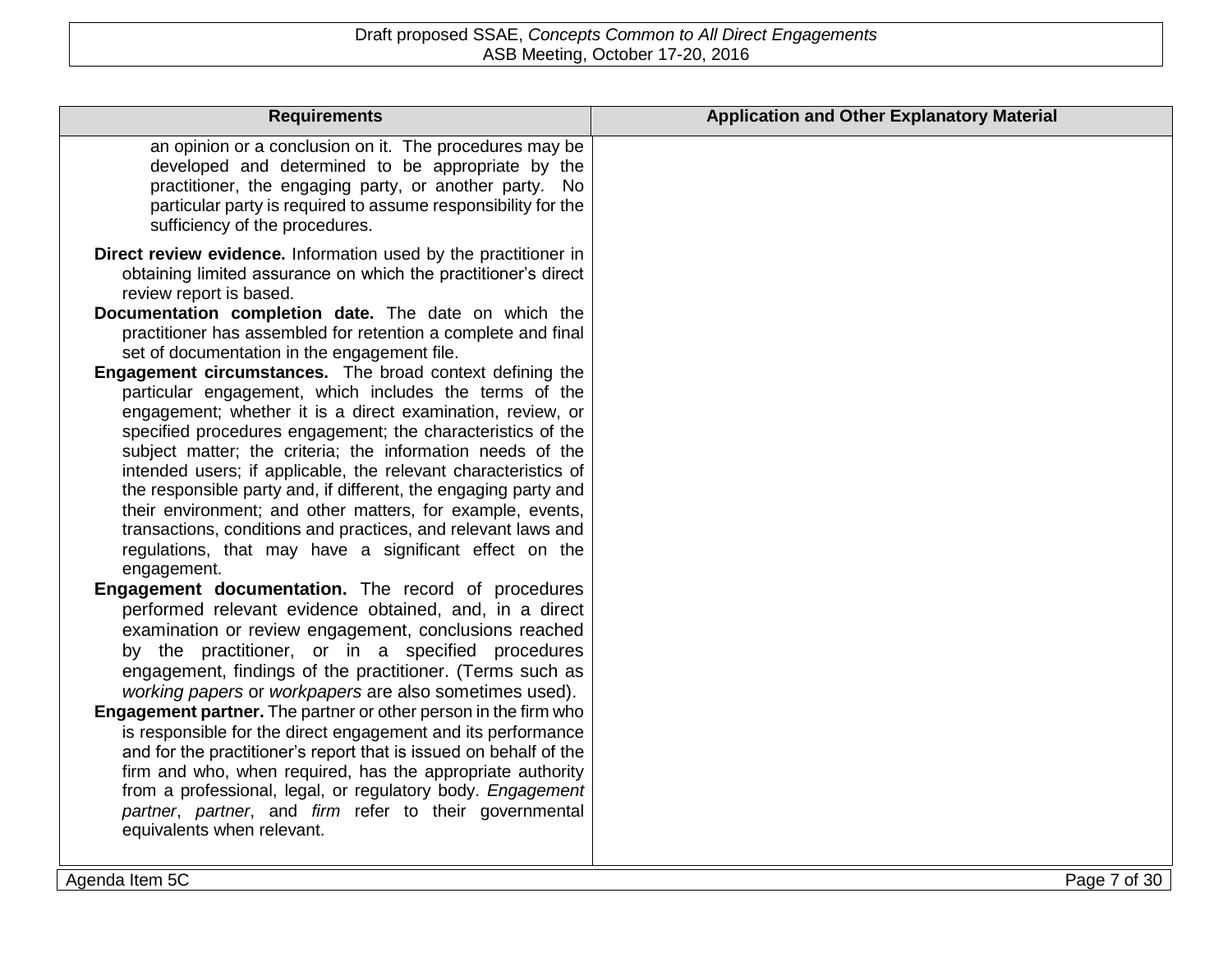| <b>Requirements</b>                                                                                                                                                                                                                                                                                                                                                                                                                                                                                                                                                                                                                                                                                                                                                                                                                                                                                                                                                                                                                                                                                                                                                                                                                                                                                                                                                                                                                                                                                                                                                                                                                                                                                                                                                                        | <b>Application and Other Explanatory Material</b> |
|--------------------------------------------------------------------------------------------------------------------------------------------------------------------------------------------------------------------------------------------------------------------------------------------------------------------------------------------------------------------------------------------------------------------------------------------------------------------------------------------------------------------------------------------------------------------------------------------------------------------------------------------------------------------------------------------------------------------------------------------------------------------------------------------------------------------------------------------------------------------------------------------------------------------------------------------------------------------------------------------------------------------------------------------------------------------------------------------------------------------------------------------------------------------------------------------------------------------------------------------------------------------------------------------------------------------------------------------------------------------------------------------------------------------------------------------------------------------------------------------------------------------------------------------------------------------------------------------------------------------------------------------------------------------------------------------------------------------------------------------------------------------------------------------|---------------------------------------------------|
| an opinion or a conclusion on it. The procedures may be<br>developed and determined to be appropriate by the<br>practitioner, the engaging party, or another party. No<br>particular party is required to assume responsibility for the<br>sufficiency of the procedures.                                                                                                                                                                                                                                                                                                                                                                                                                                                                                                                                                                                                                                                                                                                                                                                                                                                                                                                                                                                                                                                                                                                                                                                                                                                                                                                                                                                                                                                                                                                  |                                                   |
| Direct review evidence. Information used by the practitioner in<br>obtaining limited assurance on which the practitioner's direct<br>review report is based.<br>Documentation completion date. The date on which the<br>practitioner has assembled for retention a complete and final<br>set of documentation in the engagement file.<br><b>Engagement circumstances.</b> The broad context defining the<br>particular engagement, which includes the terms of the<br>engagement; whether it is a direct examination, review, or<br>specified procedures engagement; the characteristics of the<br>subject matter; the criteria; the information needs of the<br>intended users; if applicable, the relevant characteristics of<br>the responsible party and, if different, the engaging party and<br>their environment; and other matters, for example, events,<br>transactions, conditions and practices, and relevant laws and<br>regulations, that may have a significant effect on the<br>engagement.<br>Engagement documentation. The record of procedures<br>performed relevant evidence obtained, and, in a direct<br>examination or review engagement, conclusions reached<br>by the practitioner, or in a specified procedures<br>engagement, findings of the practitioner. (Terms such as<br>working papers or workpapers are also sometimes used).<br>Engagement partner. The partner or other person in the firm who<br>is responsible for the direct engagement and its performance<br>and for the practitioner's report that is issued on behalf of the<br>firm and who, when required, has the appropriate authority<br>from a professional, legal, or regulatory body. Engagement<br>partner, partner, and firm refer to their governmental<br>equivalents when relevant. |                                                   |
|                                                                                                                                                                                                                                                                                                                                                                                                                                                                                                                                                                                                                                                                                                                                                                                                                                                                                                                                                                                                                                                                                                                                                                                                                                                                                                                                                                                                                                                                                                                                                                                                                                                                                                                                                                                            |                                                   |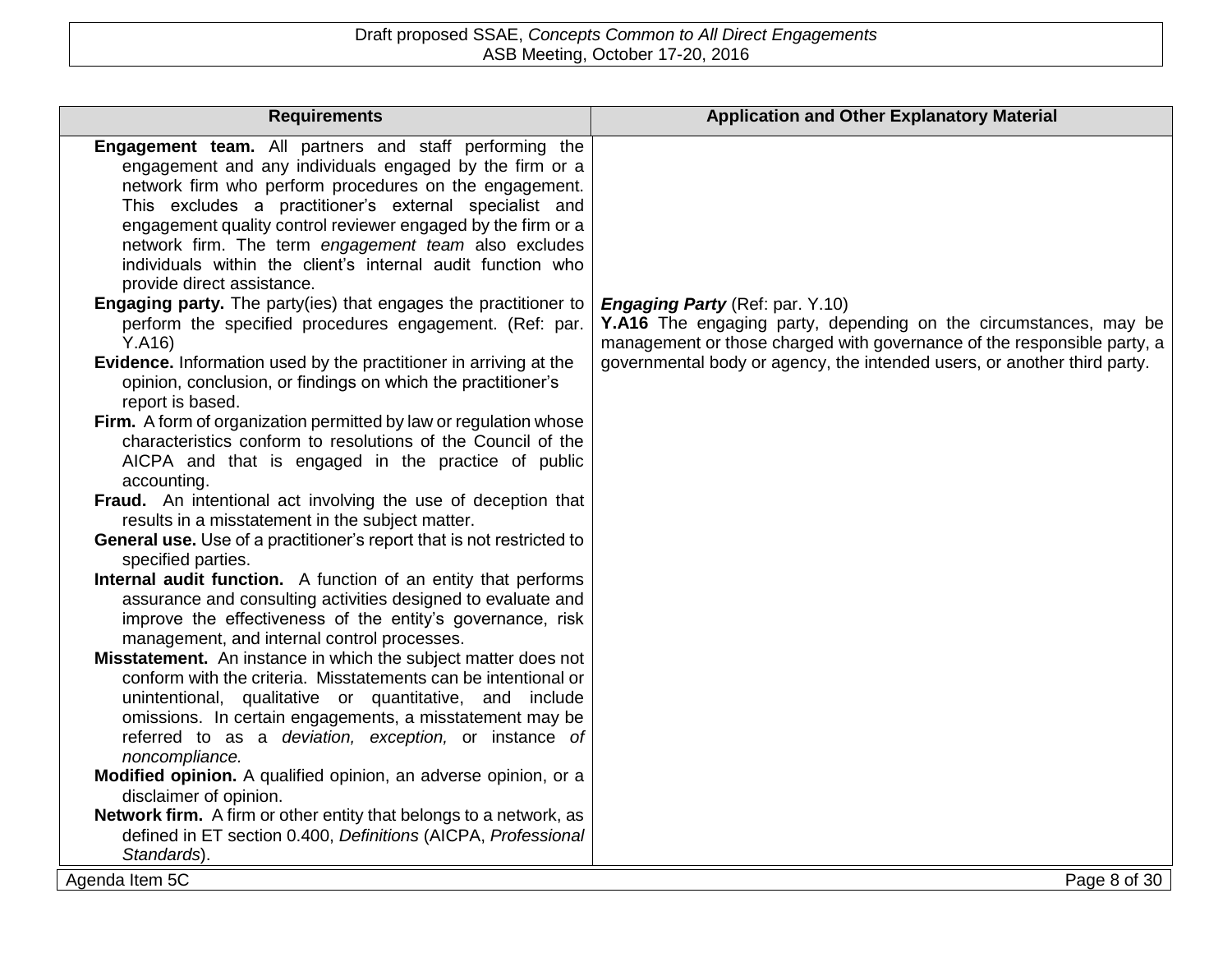| <b>Requirements</b>                                                                                                                                                                                                                                                                                                                                                                                                                                                                                                                                                                                                                                                                                                                                                                                                                                                                                                                                                                                                                                                                                                                                                                                                                                                                                                                                                                                                                                                                                                                                                                                                                                                                                                                                                                                                                                                                                                                                                                                                                      | <b>Application and Other Explanatory Material</b>                                                                                                                                                                                                                 |
|------------------------------------------------------------------------------------------------------------------------------------------------------------------------------------------------------------------------------------------------------------------------------------------------------------------------------------------------------------------------------------------------------------------------------------------------------------------------------------------------------------------------------------------------------------------------------------------------------------------------------------------------------------------------------------------------------------------------------------------------------------------------------------------------------------------------------------------------------------------------------------------------------------------------------------------------------------------------------------------------------------------------------------------------------------------------------------------------------------------------------------------------------------------------------------------------------------------------------------------------------------------------------------------------------------------------------------------------------------------------------------------------------------------------------------------------------------------------------------------------------------------------------------------------------------------------------------------------------------------------------------------------------------------------------------------------------------------------------------------------------------------------------------------------------------------------------------------------------------------------------------------------------------------------------------------------------------------------------------------------------------------------------------------|-------------------------------------------------------------------------------------------------------------------------------------------------------------------------------------------------------------------------------------------------------------------|
| Engagement team. All partners and staff performing the<br>engagement and any individuals engaged by the firm or a<br>network firm who perform procedures on the engagement.<br>This excludes a practitioner's external specialist and<br>engagement quality control reviewer engaged by the firm or a<br>network firm. The term engagement team also excludes<br>individuals within the client's internal audit function who<br>provide direct assistance.<br><b>Engaging party.</b> The party(ies) that engages the practitioner to<br>perform the specified procedures engagement. (Ref: par.<br>Y.A16<br>Evidence. Information used by the practitioner in arriving at the<br>opinion, conclusion, or findings on which the practitioner's<br>report is based.<br>Firm. A form of organization permitted by law or regulation whose<br>characteristics conform to resolutions of the Council of the<br>AICPA and that is engaged in the practice of public<br>accounting.<br>Fraud. An intentional act involving the use of deception that<br>results in a misstatement in the subject matter.<br>General use. Use of a practitioner's report that is not restricted to<br>specified parties.<br>Internal audit function. A function of an entity that performs<br>assurance and consulting activities designed to evaluate and<br>improve the effectiveness of the entity's governance, risk<br>management, and internal control processes.<br>Misstatement. An instance in which the subject matter does not<br>conform with the criteria. Misstatements can be intentional or<br>unintentional, qualitative or quantitative, and include<br>omissions. In certain engagements, a misstatement may be<br>referred to as a deviation, exception, or instance of<br>noncompliance.<br>Modified opinion. A qualified opinion, an adverse opinion, or a<br>disclaimer of opinion.<br>Network firm. A firm or other entity that belongs to a network, as<br>defined in ET section 0.400, Definitions (AICPA, Professional<br>Standards). | <b>Engaging Party</b> (Ref: par. Y.10)<br>Y.A16 The engaging party, depending on the circumstances, may be<br>management or those charged with governance of the responsible party, a<br>governmental body or agency, the intended users, or another third party. |
| Agenda Item 5C                                                                                                                                                                                                                                                                                                                                                                                                                                                                                                                                                                                                                                                                                                                                                                                                                                                                                                                                                                                                                                                                                                                                                                                                                                                                                                                                                                                                                                                                                                                                                                                                                                                                                                                                                                                                                                                                                                                                                                                                                           | Page 8 of 30                                                                                                                                                                                                                                                      |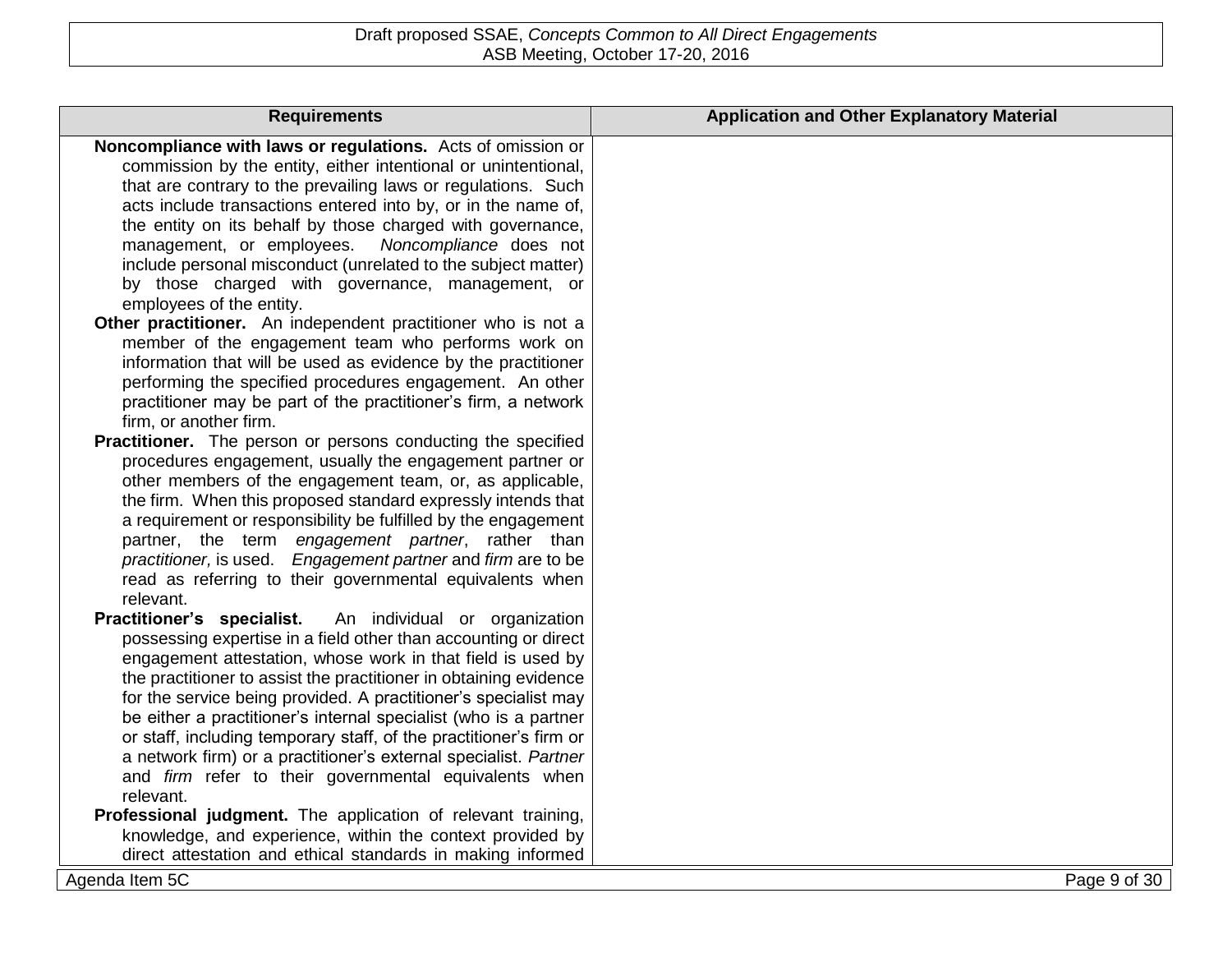| <b>Requirements</b>                                                                                               | <b>Application and Other Explanatory Material</b> |
|-------------------------------------------------------------------------------------------------------------------|---------------------------------------------------|
| Noncompliance with laws or regulations. Acts of omission or                                                       |                                                   |
| commission by the entity, either intentional or unintentional,                                                    |                                                   |
| that are contrary to the prevailing laws or regulations. Such                                                     |                                                   |
| acts include transactions entered into by, or in the name of,                                                     |                                                   |
| the entity on its behalf by those charged with governance,                                                        |                                                   |
| management, or employees.<br>Noncompliance does not                                                               |                                                   |
| include personal misconduct (unrelated to the subject matter)                                                     |                                                   |
| by those charged with governance, management, or                                                                  |                                                   |
| employees of the entity.                                                                                          |                                                   |
| Other practitioner. An independent practitioner who is not a                                                      |                                                   |
| member of the engagement team who performs work on                                                                |                                                   |
| information that will be used as evidence by the practitioner                                                     |                                                   |
| performing the specified procedures engagement. An other                                                          |                                                   |
| practitioner may be part of the practitioner's firm, a network                                                    |                                                   |
| firm, or another firm.                                                                                            |                                                   |
| Practitioner. The person or persons conducting the specified                                                      |                                                   |
| procedures engagement, usually the engagement partner or                                                          |                                                   |
| other members of the engagement team, or, as applicable,                                                          |                                                   |
| the firm. When this proposed standard expressly intends that                                                      |                                                   |
| a requirement or responsibility be fulfilled by the engagement                                                    |                                                   |
| partner, the term engagement partner, rather than<br>practitioner, is used. Engagement partner and firm are to be |                                                   |
| read as referring to their governmental equivalents when                                                          |                                                   |
| relevant.                                                                                                         |                                                   |
| Practitioner's specialist.<br>An individual or organization                                                       |                                                   |
| possessing expertise in a field other than accounting or direct                                                   |                                                   |
| engagement attestation, whose work in that field is used by                                                       |                                                   |
| the practitioner to assist the practitioner in obtaining evidence                                                 |                                                   |
| for the service being provided. A practitioner's specialist may                                                   |                                                   |
| be either a practitioner's internal specialist (who is a partner                                                  |                                                   |
| or staff, including temporary staff, of the practitioner's firm or                                                |                                                   |
| a network firm) or a practitioner's external specialist. Partner                                                  |                                                   |
| and firm refer to their governmental equivalents when                                                             |                                                   |
| relevant.                                                                                                         |                                                   |
| Professional judgment. The application of relevant training,                                                      |                                                   |
| knowledge, and experience, within the context provided by                                                         |                                                   |
| direct attestation and ethical standards in making informed                                                       |                                                   |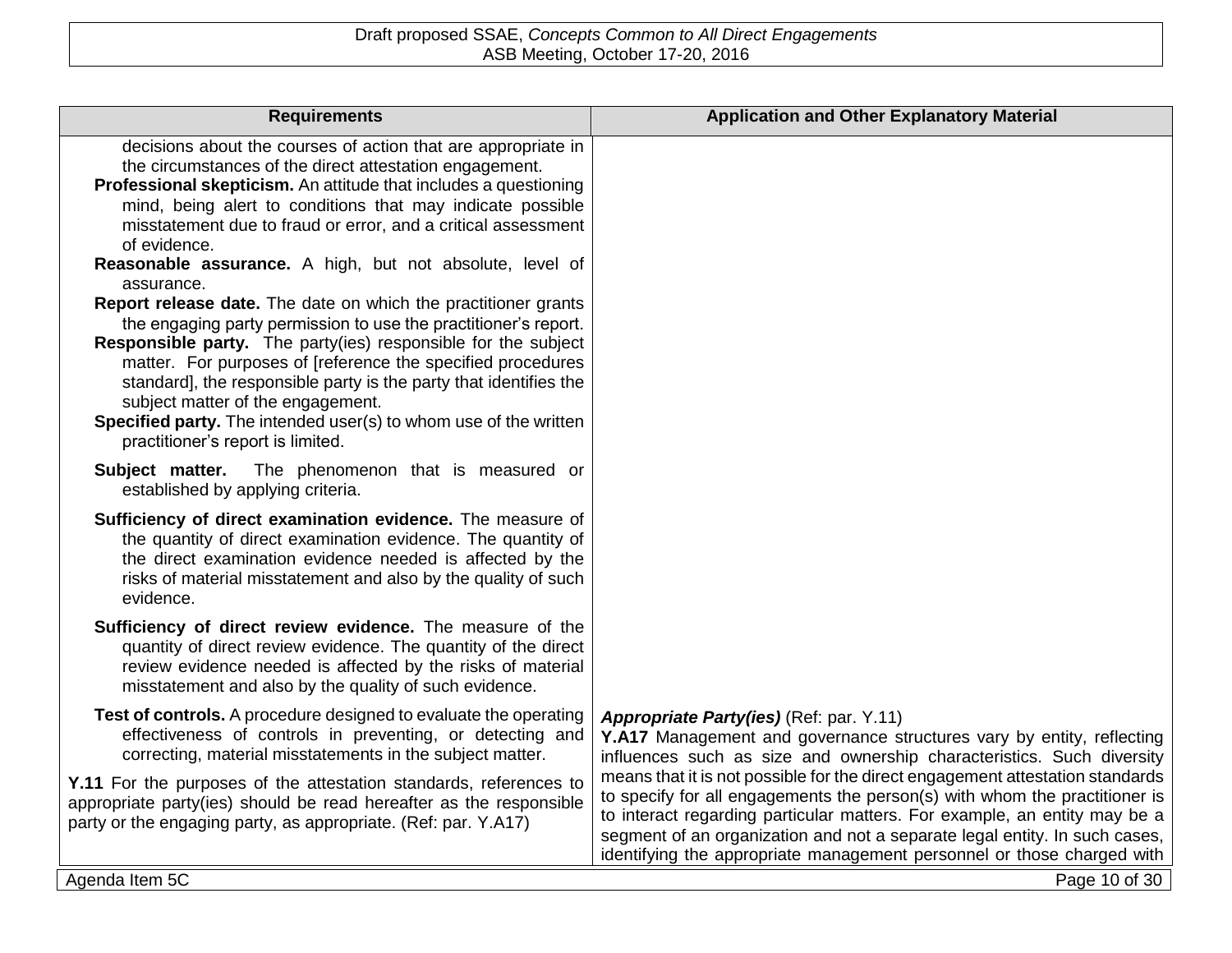| <b>Requirements</b>                                                                                                                                                                                                                                                                                                                                                                                                                                                                                                                                                                                                                                                                                                                                                                                  | <b>Application and Other Explanatory Material</b>                                                                                                                                                                                                                                                                                                                                                |
|------------------------------------------------------------------------------------------------------------------------------------------------------------------------------------------------------------------------------------------------------------------------------------------------------------------------------------------------------------------------------------------------------------------------------------------------------------------------------------------------------------------------------------------------------------------------------------------------------------------------------------------------------------------------------------------------------------------------------------------------------------------------------------------------------|--------------------------------------------------------------------------------------------------------------------------------------------------------------------------------------------------------------------------------------------------------------------------------------------------------------------------------------------------------------------------------------------------|
| decisions about the courses of action that are appropriate in<br>the circumstances of the direct attestation engagement.<br>Professional skepticism. An attitude that includes a questioning<br>mind, being alert to conditions that may indicate possible<br>misstatement due to fraud or error, and a critical assessment<br>of evidence.<br>Reasonable assurance. A high, but not absolute, level of<br>assurance.<br>Report release date. The date on which the practitioner grants<br>the engaging party permission to use the practitioner's report.<br>Responsible party. The party(ies) responsible for the subject<br>matter. For purposes of [reference the specified procedures<br>standard], the responsible party is the party that identifies the<br>subject matter of the engagement. |                                                                                                                                                                                                                                                                                                                                                                                                  |
| Specified party. The intended user(s) to whom use of the written<br>practitioner's report is limited.<br>The phenomenon that is measured or<br>Subject matter.                                                                                                                                                                                                                                                                                                                                                                                                                                                                                                                                                                                                                                       |                                                                                                                                                                                                                                                                                                                                                                                                  |
| established by applying criteria.                                                                                                                                                                                                                                                                                                                                                                                                                                                                                                                                                                                                                                                                                                                                                                    |                                                                                                                                                                                                                                                                                                                                                                                                  |
| Sufficiency of direct examination evidence. The measure of<br>the quantity of direct examination evidence. The quantity of<br>the direct examination evidence needed is affected by the<br>risks of material misstatement and also by the quality of such<br>evidence.                                                                                                                                                                                                                                                                                                                                                                                                                                                                                                                               |                                                                                                                                                                                                                                                                                                                                                                                                  |
| Sufficiency of direct review evidence. The measure of the<br>quantity of direct review evidence. The quantity of the direct<br>review evidence needed is affected by the risks of material<br>misstatement and also by the quality of such evidence.                                                                                                                                                                                                                                                                                                                                                                                                                                                                                                                                                 |                                                                                                                                                                                                                                                                                                                                                                                                  |
| Test of controls. A procedure designed to evaluate the operating<br>effectiveness of controls in preventing, or detecting and<br>correcting, material misstatements in the subject matter.                                                                                                                                                                                                                                                                                                                                                                                                                                                                                                                                                                                                           | Appropriate Party(ies) (Ref: par. Y.11)<br>Y.A17 Management and governance structures vary by entity, reflecting<br>influences such as size and ownership characteristics. Such diversity                                                                                                                                                                                                        |
| Y.11 For the purposes of the attestation standards, references to<br>appropriate party(ies) should be read hereafter as the responsible<br>party or the engaging party, as appropriate. (Ref: par. Y.A17)                                                                                                                                                                                                                                                                                                                                                                                                                                                                                                                                                                                            | means that it is not possible for the direct engagement attestation standards<br>to specify for all engagements the person(s) with whom the practitioner is<br>to interact regarding particular matters. For example, an entity may be a<br>segment of an organization and not a separate legal entity. In such cases,<br>identifying the appropriate management personnel or those charged with |
| Agenda Item 5C                                                                                                                                                                                                                                                                                                                                                                                                                                                                                                                                                                                                                                                                                                                                                                                       | Page 10 of 30                                                                                                                                                                                                                                                                                                                                                                                    |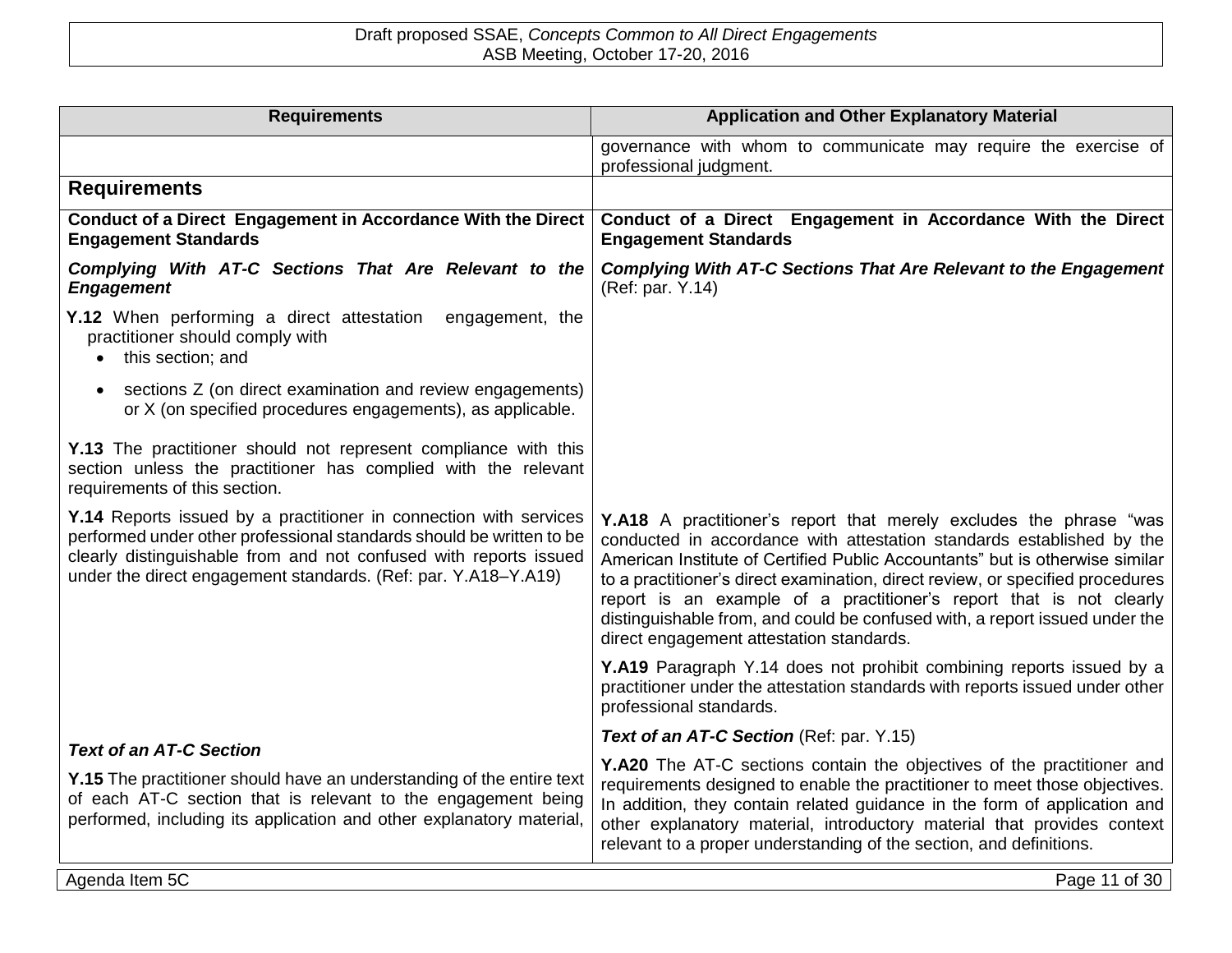| <b>Requirements</b>                                                                                                                                                                                                                                                              | <b>Application and Other Explanatory Material</b>                                                                                                                                                                                                                                                                                                                                                                                                                                                               |
|----------------------------------------------------------------------------------------------------------------------------------------------------------------------------------------------------------------------------------------------------------------------------------|-----------------------------------------------------------------------------------------------------------------------------------------------------------------------------------------------------------------------------------------------------------------------------------------------------------------------------------------------------------------------------------------------------------------------------------------------------------------------------------------------------------------|
|                                                                                                                                                                                                                                                                                  | governance with whom to communicate may require the exercise of<br>professional judgment.                                                                                                                                                                                                                                                                                                                                                                                                                       |
| <b>Requirements</b>                                                                                                                                                                                                                                                              |                                                                                                                                                                                                                                                                                                                                                                                                                                                                                                                 |
| Conduct of a Direct Engagement in Accordance With the Direct<br><b>Engagement Standards</b>                                                                                                                                                                                      | Conduct of a Direct Engagement in Accordance With the Direct<br><b>Engagement Standards</b>                                                                                                                                                                                                                                                                                                                                                                                                                     |
| Complying With AT-C Sections That Are Relevant to the<br><b>Engagement</b>                                                                                                                                                                                                       | <b>Complying With AT-C Sections That Are Relevant to the Engagement</b><br>(Ref: par. Y.14)                                                                                                                                                                                                                                                                                                                                                                                                                     |
| Y.12 When performing a direct attestation<br>engagement, the<br>practitioner should comply with<br>this section; and                                                                                                                                                             |                                                                                                                                                                                                                                                                                                                                                                                                                                                                                                                 |
| sections Z (on direct examination and review engagements)<br>or X (on specified procedures engagements), as applicable.                                                                                                                                                          |                                                                                                                                                                                                                                                                                                                                                                                                                                                                                                                 |
| Y.13 The practitioner should not represent compliance with this<br>section unless the practitioner has complied with the relevant<br>requirements of this section.                                                                                                               |                                                                                                                                                                                                                                                                                                                                                                                                                                                                                                                 |
| Y.14 Reports issued by a practitioner in connection with services<br>performed under other professional standards should be written to be<br>clearly distinguishable from and not confused with reports issued<br>under the direct engagement standards. (Ref: par. Y.A18-Y.A19) | Y.A18 A practitioner's report that merely excludes the phrase "was<br>conducted in accordance with attestation standards established by the<br>American Institute of Certified Public Accountants" but is otherwise similar<br>to a practitioner's direct examination, direct review, or specified procedures<br>report is an example of a practitioner's report that is not clearly<br>distinguishable from, and could be confused with, a report issued under the<br>direct engagement attestation standards. |
|                                                                                                                                                                                                                                                                                  | Y.A19 Paragraph Y.14 does not prohibit combining reports issued by a<br>practitioner under the attestation standards with reports issued under other<br>professional standards.                                                                                                                                                                                                                                                                                                                                 |
| <b>Text of an AT-C Section</b>                                                                                                                                                                                                                                                   | Text of an AT-C Section (Ref: par. Y.15)                                                                                                                                                                                                                                                                                                                                                                                                                                                                        |
| <b>Y.15</b> The practitioner should have an understanding of the entire text<br>of each AT-C section that is relevant to the engagement being<br>performed, including its application and other explanatory material,                                                            | Y.A20 The AT-C sections contain the objectives of the practitioner and<br>requirements designed to enable the practitioner to meet those objectives.<br>In addition, they contain related guidance in the form of application and<br>other explanatory material, introductory material that provides context<br>relevant to a proper understanding of the section, and definitions.                                                                                                                             |
| Agenda Item 5C                                                                                                                                                                                                                                                                   | Page 11 of 30                                                                                                                                                                                                                                                                                                                                                                                                                                                                                                   |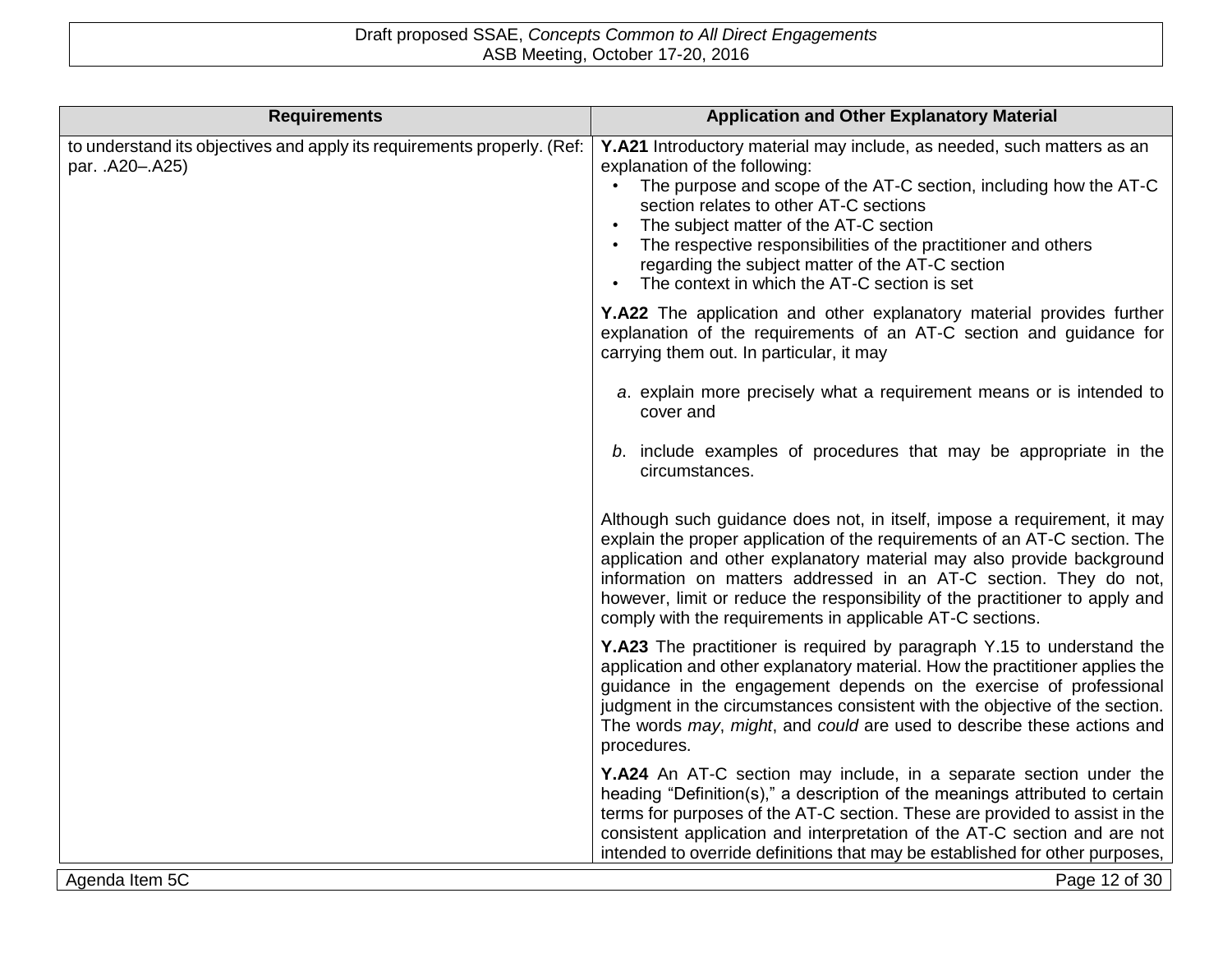| <b>Requirements</b>                                                                        | <b>Application and Other Explanatory Material</b>                                                                                                                                                                                                                                                                                                                                                                                                   |
|--------------------------------------------------------------------------------------------|-----------------------------------------------------------------------------------------------------------------------------------------------------------------------------------------------------------------------------------------------------------------------------------------------------------------------------------------------------------------------------------------------------------------------------------------------------|
| to understand its objectives and apply its requirements properly. (Ref:<br>par. .A20-.A25) | Y.A21 Introductory material may include, as needed, such matters as an<br>explanation of the following:<br>The purpose and scope of the AT-C section, including how the AT-C<br>section relates to other AT-C sections<br>The subject matter of the AT-C section<br>The respective responsibilities of the practitioner and others<br>regarding the subject matter of the AT-C section<br>The context in which the AT-C section is set<br>$\bullet$ |
|                                                                                            | Y.A22 The application and other explanatory material provides further<br>explanation of the requirements of an AT-C section and guidance for<br>carrying them out. In particular, it may                                                                                                                                                                                                                                                            |
|                                                                                            | a. explain more precisely what a requirement means or is intended to<br>cover and                                                                                                                                                                                                                                                                                                                                                                   |
|                                                                                            | b. include examples of procedures that may be appropriate in the<br>circumstances.                                                                                                                                                                                                                                                                                                                                                                  |
|                                                                                            | Although such guidance does not, in itself, impose a requirement, it may<br>explain the proper application of the requirements of an AT-C section. The<br>application and other explanatory material may also provide background<br>information on matters addressed in an AT-C section. They do not,<br>however, limit or reduce the responsibility of the practitioner to apply and<br>comply with the requirements in applicable AT-C sections.  |
|                                                                                            | Y.A23 The practitioner is required by paragraph Y.15 to understand the<br>application and other explanatory material. How the practitioner applies the<br>guidance in the engagement depends on the exercise of professional<br>judgment in the circumstances consistent with the objective of the section.<br>The words may, might, and could are used to describe these actions and<br>procedures.                                                |
|                                                                                            | Y.A24 An AT-C section may include, in a separate section under the<br>heading "Definition(s)," a description of the meanings attributed to certain<br>terms for purposes of the AT-C section. These are provided to assist in the<br>consistent application and interpretation of the AT-C section and are not<br>intended to override definitions that may be established for other purposes,                                                      |
| Agenda Item 5C                                                                             | Page 12 of 30                                                                                                                                                                                                                                                                                                                                                                                                                                       |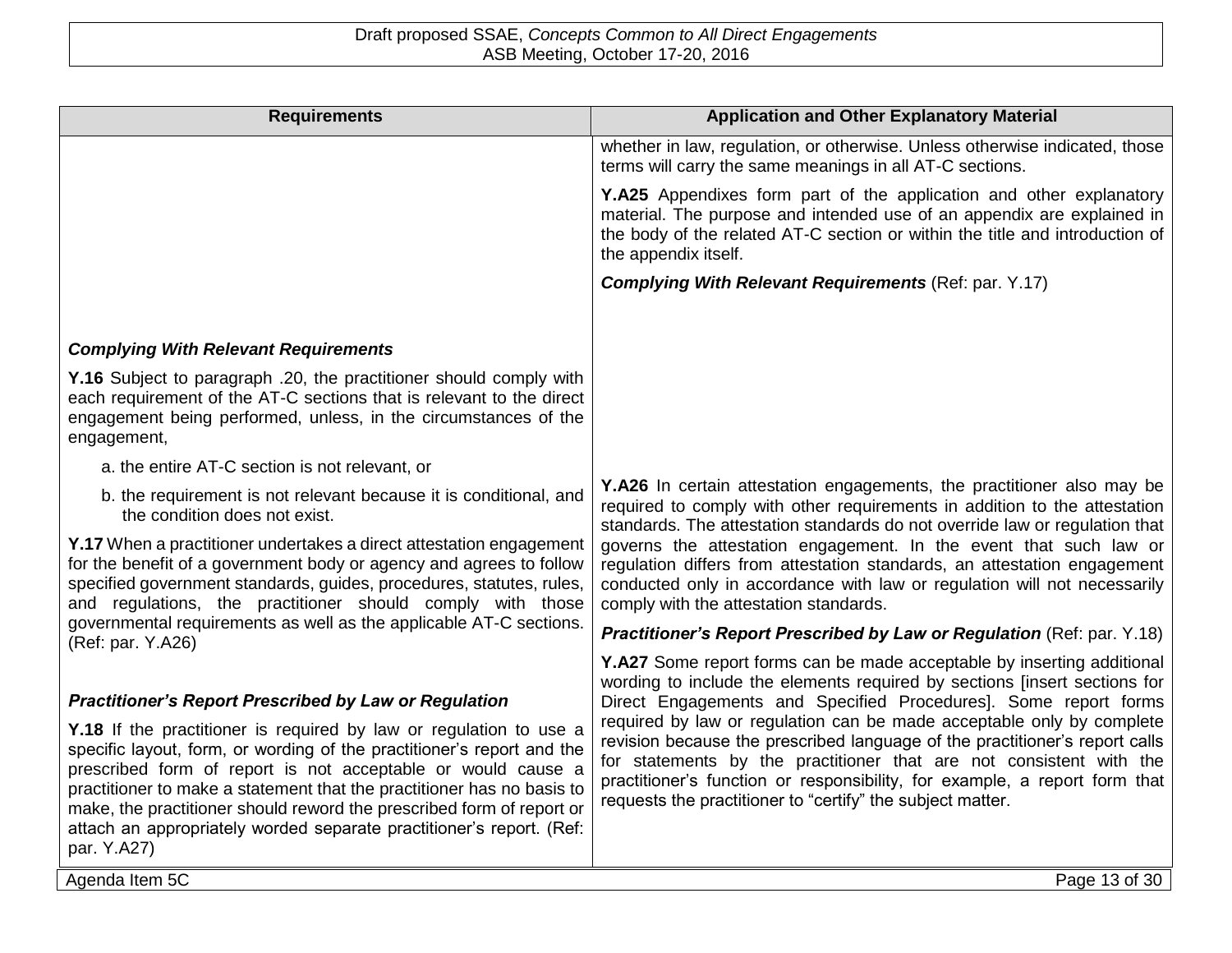| <b>Requirements</b>                                                                                                                                                                                                                                                                                                                                                                                                                                    | <b>Application and Other Explanatory Material</b>                                                                                                                                                                                                                                                                                                                       |
|--------------------------------------------------------------------------------------------------------------------------------------------------------------------------------------------------------------------------------------------------------------------------------------------------------------------------------------------------------------------------------------------------------------------------------------------------------|-------------------------------------------------------------------------------------------------------------------------------------------------------------------------------------------------------------------------------------------------------------------------------------------------------------------------------------------------------------------------|
|                                                                                                                                                                                                                                                                                                                                                                                                                                                        | whether in law, regulation, or otherwise. Unless otherwise indicated, those<br>terms will carry the same meanings in all AT-C sections.                                                                                                                                                                                                                                 |
|                                                                                                                                                                                                                                                                                                                                                                                                                                                        | <b>Y.A25</b> Appendixes form part of the application and other explanatory<br>material. The purpose and intended use of an appendix are explained in<br>the body of the related AT-C section or within the title and introduction of<br>the appendix itself.                                                                                                            |
|                                                                                                                                                                                                                                                                                                                                                                                                                                                        | <b>Complying With Relevant Requirements (Ref: par. Y.17)</b>                                                                                                                                                                                                                                                                                                            |
|                                                                                                                                                                                                                                                                                                                                                                                                                                                        |                                                                                                                                                                                                                                                                                                                                                                         |
| <b>Complying With Relevant Requirements</b>                                                                                                                                                                                                                                                                                                                                                                                                            |                                                                                                                                                                                                                                                                                                                                                                         |
| Y.16 Subject to paragraph .20, the practitioner should comply with<br>each requirement of the AT-C sections that is relevant to the direct<br>engagement being performed, unless, in the circumstances of the<br>engagement,                                                                                                                                                                                                                           |                                                                                                                                                                                                                                                                                                                                                                         |
| a. the entire AT-C section is not relevant, or                                                                                                                                                                                                                                                                                                                                                                                                         |                                                                                                                                                                                                                                                                                                                                                                         |
| b. the requirement is not relevant because it is conditional, and<br>the condition does not exist.                                                                                                                                                                                                                                                                                                                                                     | <b>Y.A26</b> In certain attestation engagements, the practitioner also may be<br>required to comply with other requirements in addition to the attestation<br>standards. The attestation standards do not override law or regulation that                                                                                                                               |
| Y.17 When a practitioner undertakes a direct attestation engagement<br>for the benefit of a government body or agency and agrees to follow<br>specified government standards, guides, procedures, statutes, rules,<br>and regulations, the practitioner should comply with those                                                                                                                                                                       | governs the attestation engagement. In the event that such law or<br>regulation differs from attestation standards, an attestation engagement<br>conducted only in accordance with law or regulation will not necessarily<br>comply with the attestation standards.                                                                                                     |
| governmental requirements as well as the applicable AT-C sections.<br>(Ref: par. Y.A26)                                                                                                                                                                                                                                                                                                                                                                | <b>Practitioner's Report Prescribed by Law or Regulation (Ref: par. Y.18)</b>                                                                                                                                                                                                                                                                                           |
| <b>Practitioner's Report Prescribed by Law or Regulation</b>                                                                                                                                                                                                                                                                                                                                                                                           | Y.A27 Some report forms can be made acceptable by inserting additional<br>wording to include the elements required by sections [insert sections for<br>Direct Engagements and Specified Procedures]. Some report forms                                                                                                                                                  |
| Y.18 If the practitioner is required by law or regulation to use a<br>specific layout, form, or wording of the practitioner's report and the<br>prescribed form of report is not acceptable or would cause a<br>practitioner to make a statement that the practitioner has no basis to<br>make, the practitioner should reword the prescribed form of report or<br>attach an appropriately worded separate practitioner's report. (Ref:<br>par. Y.A27) | required by law or regulation can be made acceptable only by complete<br>revision because the prescribed language of the practitioner's report calls<br>for statements by the practitioner that are not consistent with the<br>practitioner's function or responsibility, for example, a report form that<br>requests the practitioner to "certify" the subject matter. |
| Agenda Item 5C                                                                                                                                                                                                                                                                                                                                                                                                                                         | Page 13 of 30                                                                                                                                                                                                                                                                                                                                                           |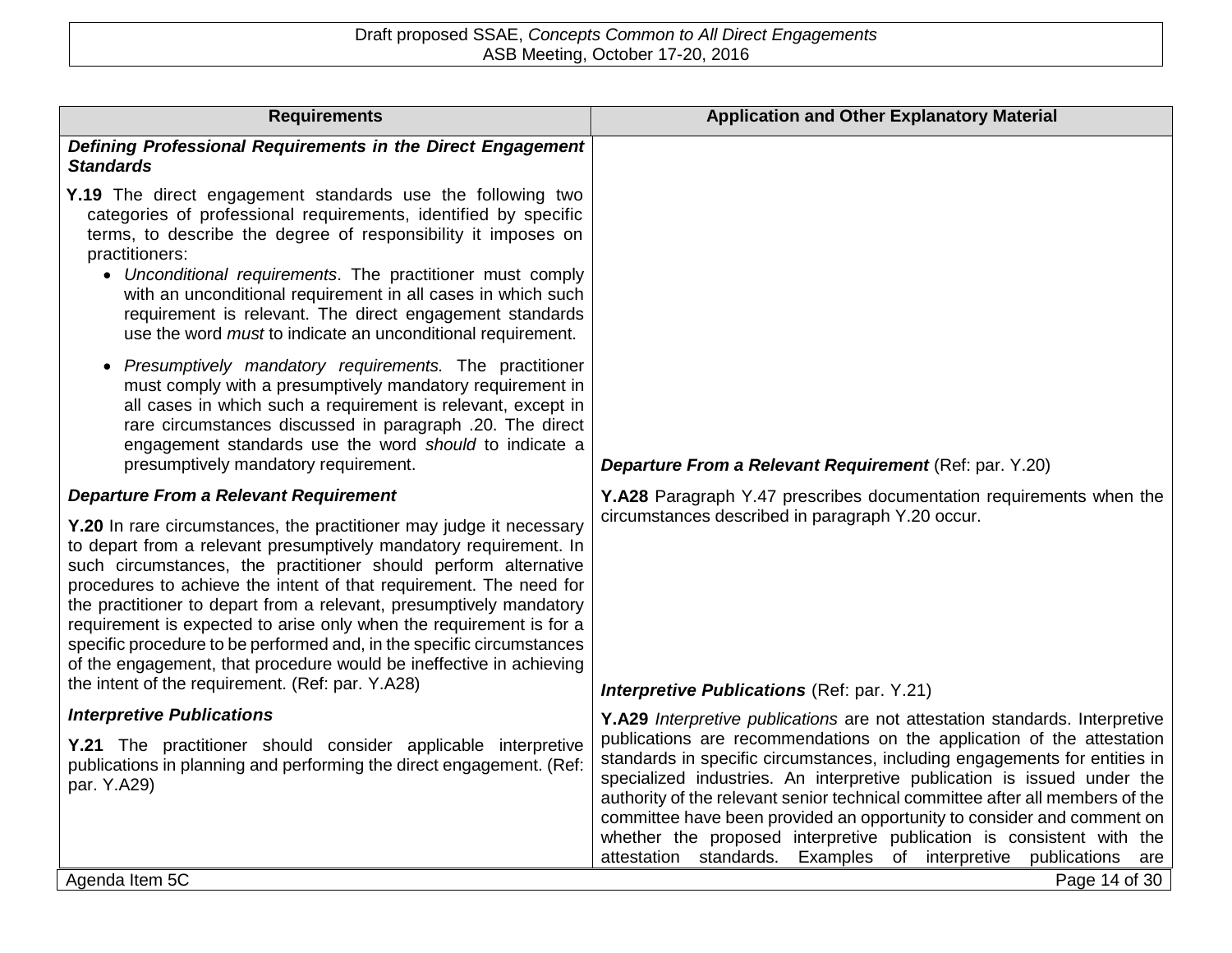| <b>Requirements</b>                                                                                                                                                                                                                                                                                                                                                                                                                                                                                                                                                                                                                 | <b>Application and Other Explanatory Material</b>                                                                                                                                                                                                                                                                                                                                                                                                                                                                                                                                                                                    |
|-------------------------------------------------------------------------------------------------------------------------------------------------------------------------------------------------------------------------------------------------------------------------------------------------------------------------------------------------------------------------------------------------------------------------------------------------------------------------------------------------------------------------------------------------------------------------------------------------------------------------------------|--------------------------------------------------------------------------------------------------------------------------------------------------------------------------------------------------------------------------------------------------------------------------------------------------------------------------------------------------------------------------------------------------------------------------------------------------------------------------------------------------------------------------------------------------------------------------------------------------------------------------------------|
| Defining Professional Requirements in the Direct Engagement<br><b>Standards</b>                                                                                                                                                                                                                                                                                                                                                                                                                                                                                                                                                     |                                                                                                                                                                                                                                                                                                                                                                                                                                                                                                                                                                                                                                      |
| Y.19 The direct engagement standards use the following two<br>categories of professional requirements, identified by specific<br>terms, to describe the degree of responsibility it imposes on<br>practitioners:<br>• Unconditional requirements. The practitioner must comply<br>with an unconditional requirement in all cases in which such<br>requirement is relevant. The direct engagement standards<br>use the word <i>must</i> to indicate an unconditional requirement.                                                                                                                                                    |                                                                                                                                                                                                                                                                                                                                                                                                                                                                                                                                                                                                                                      |
| • Presumptively mandatory requirements. The practitioner<br>must comply with a presumptively mandatory requirement in<br>all cases in which such a requirement is relevant, except in<br>rare circumstances discussed in paragraph .20. The direct<br>engagement standards use the word should to indicate a<br>presumptively mandatory requirement.                                                                                                                                                                                                                                                                                | Departure From a Relevant Requirement (Ref: par. Y.20)                                                                                                                                                                                                                                                                                                                                                                                                                                                                                                                                                                               |
| <b>Departure From a Relevant Requirement</b>                                                                                                                                                                                                                                                                                                                                                                                                                                                                                                                                                                                        | Y.A28 Paragraph Y.47 prescribes documentation requirements when the                                                                                                                                                                                                                                                                                                                                                                                                                                                                                                                                                                  |
| Y.20 In rare circumstances, the practitioner may judge it necessary<br>to depart from a relevant presumptively mandatory requirement. In<br>such circumstances, the practitioner should perform alternative<br>procedures to achieve the intent of that requirement. The need for<br>the practitioner to depart from a relevant, presumptively mandatory<br>requirement is expected to arise only when the requirement is for a<br>specific procedure to be performed and, in the specific circumstances<br>of the engagement, that procedure would be ineffective in achieving<br>the intent of the requirement. (Ref: par. Y.A28) | circumstances described in paragraph Y.20 occur.                                                                                                                                                                                                                                                                                                                                                                                                                                                                                                                                                                                     |
| <b>Interpretive Publications</b>                                                                                                                                                                                                                                                                                                                                                                                                                                                                                                                                                                                                    | <b>Interpretive Publications (Ref: par. Y.21)</b>                                                                                                                                                                                                                                                                                                                                                                                                                                                                                                                                                                                    |
| Y.21 The practitioner should consider applicable interpretive<br>publications in planning and performing the direct engagement. (Ref:<br>par. Y.A29)                                                                                                                                                                                                                                                                                                                                                                                                                                                                                | Y.A29 Interpretive publications are not attestation standards. Interpretive<br>publications are recommendations on the application of the attestation<br>standards in specific circumstances, including engagements for entities in<br>specialized industries. An interpretive publication is issued under the<br>authority of the relevant senior technical committee after all members of the<br>committee have been provided an opportunity to consider and comment on<br>whether the proposed interpretive publication is consistent with the<br>attestation<br>standards.<br>Examples<br>of interpretive<br>publications<br>are |
| Agenda Item 5C                                                                                                                                                                                                                                                                                                                                                                                                                                                                                                                                                                                                                      | Page 14 of 30                                                                                                                                                                                                                                                                                                                                                                                                                                                                                                                                                                                                                        |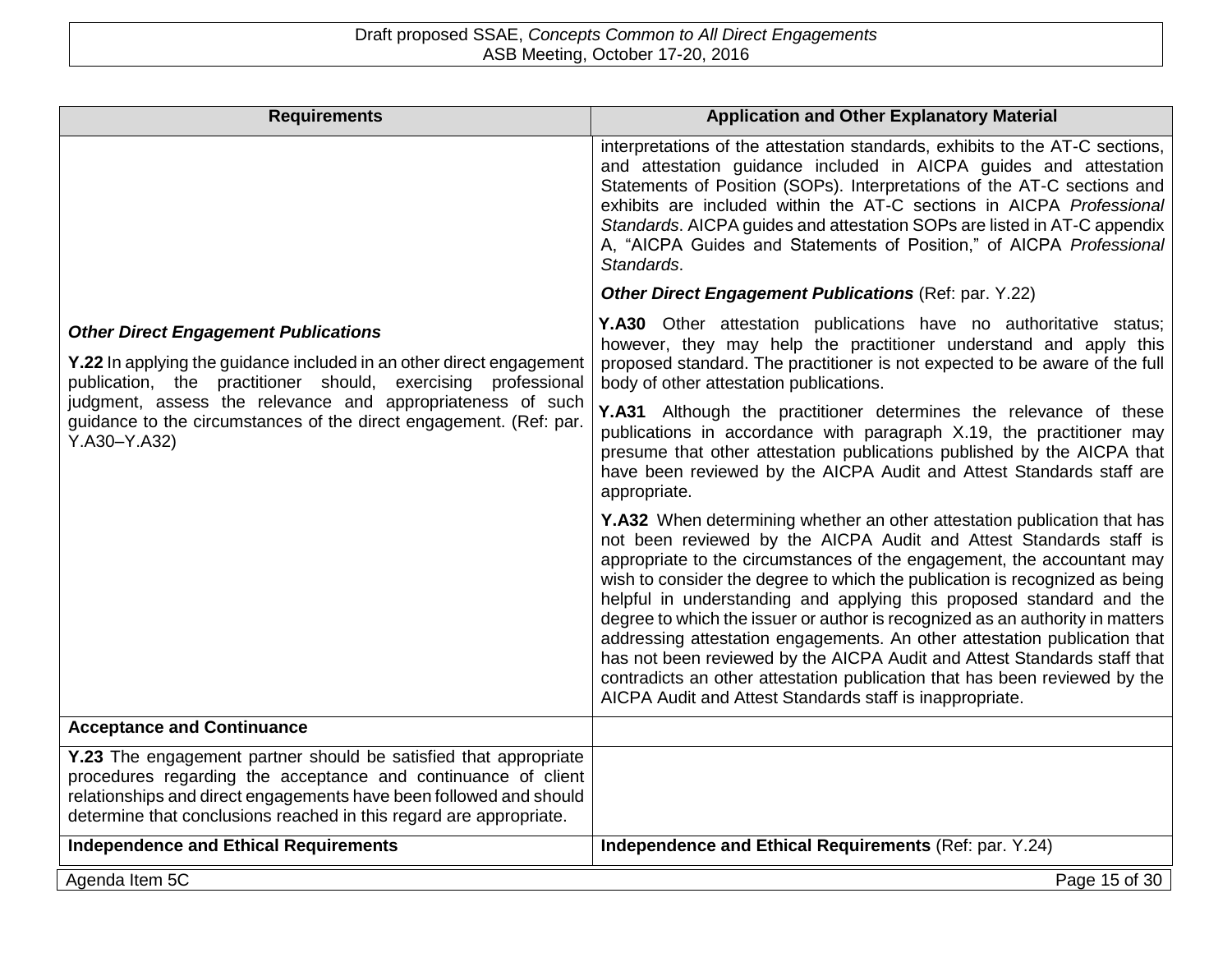| <b>Requirements</b>                                                                                                                                                                                                                                                                                                                             | <b>Application and Other Explanatory Material</b>                                                                                                                                                                                                                                                                                                                                                                                                                                                                                                                                                                                                                                                                                                                   |
|-------------------------------------------------------------------------------------------------------------------------------------------------------------------------------------------------------------------------------------------------------------------------------------------------------------------------------------------------|---------------------------------------------------------------------------------------------------------------------------------------------------------------------------------------------------------------------------------------------------------------------------------------------------------------------------------------------------------------------------------------------------------------------------------------------------------------------------------------------------------------------------------------------------------------------------------------------------------------------------------------------------------------------------------------------------------------------------------------------------------------------|
|                                                                                                                                                                                                                                                                                                                                                 | interpretations of the attestation standards, exhibits to the AT-C sections,<br>and attestation guidance included in AICPA guides and attestation<br>Statements of Position (SOPs). Interpretations of the AT-C sections and<br>exhibits are included within the AT-C sections in AICPA Professional<br>Standards. AICPA guides and attestation SOPs are listed in AT-C appendix<br>A, "AICPA Guides and Statements of Position," of AICPA Professional<br>Standards.                                                                                                                                                                                                                                                                                               |
|                                                                                                                                                                                                                                                                                                                                                 | Other Direct Engagement Publications (Ref: par. Y.22)                                                                                                                                                                                                                                                                                                                                                                                                                                                                                                                                                                                                                                                                                                               |
| <b>Other Direct Engagement Publications</b><br><b>Y.22</b> In applying the guidance included in an other direct engagement<br>publication, the practitioner should, exercising professional<br>judgment, assess the relevance and appropriateness of such<br>guidance to the circumstances of the direct engagement. (Ref: par.<br>Y.A30-Y.A32) | Y.A30 Other attestation publications have no authoritative status;<br>however, they may help the practitioner understand and apply this<br>proposed standard. The practitioner is not expected to be aware of the full<br>body of other attestation publications.                                                                                                                                                                                                                                                                                                                                                                                                                                                                                                   |
|                                                                                                                                                                                                                                                                                                                                                 | Y.A31 Although the practitioner determines the relevance of these<br>publications in accordance with paragraph X.19, the practitioner may<br>presume that other attestation publications published by the AICPA that<br>have been reviewed by the AICPA Audit and Attest Standards staff are<br>appropriate.                                                                                                                                                                                                                                                                                                                                                                                                                                                        |
|                                                                                                                                                                                                                                                                                                                                                 | Y.A32 When determining whether an other attestation publication that has<br>not been reviewed by the AICPA Audit and Attest Standards staff is<br>appropriate to the circumstances of the engagement, the accountant may<br>wish to consider the degree to which the publication is recognized as being<br>helpful in understanding and applying this proposed standard and the<br>degree to which the issuer or author is recognized as an authority in matters<br>addressing attestation engagements. An other attestation publication that<br>has not been reviewed by the AICPA Audit and Attest Standards staff that<br>contradicts an other attestation publication that has been reviewed by the<br>AICPA Audit and Attest Standards staff is inappropriate. |
| <b>Acceptance and Continuance</b>                                                                                                                                                                                                                                                                                                               |                                                                                                                                                                                                                                                                                                                                                                                                                                                                                                                                                                                                                                                                                                                                                                     |
| Y.23 The engagement partner should be satisfied that appropriate<br>procedures regarding the acceptance and continuance of client<br>relationships and direct engagements have been followed and should<br>determine that conclusions reached in this regard are appropriate.                                                                   |                                                                                                                                                                                                                                                                                                                                                                                                                                                                                                                                                                                                                                                                                                                                                                     |
| <b>Independence and Ethical Requirements</b>                                                                                                                                                                                                                                                                                                    | Independence and Ethical Requirements (Ref: par. Y.24)                                                                                                                                                                                                                                                                                                                                                                                                                                                                                                                                                                                                                                                                                                              |
| Agenda Item 5C                                                                                                                                                                                                                                                                                                                                  | Page 15 of 30                                                                                                                                                                                                                                                                                                                                                                                                                                                                                                                                                                                                                                                                                                                                                       |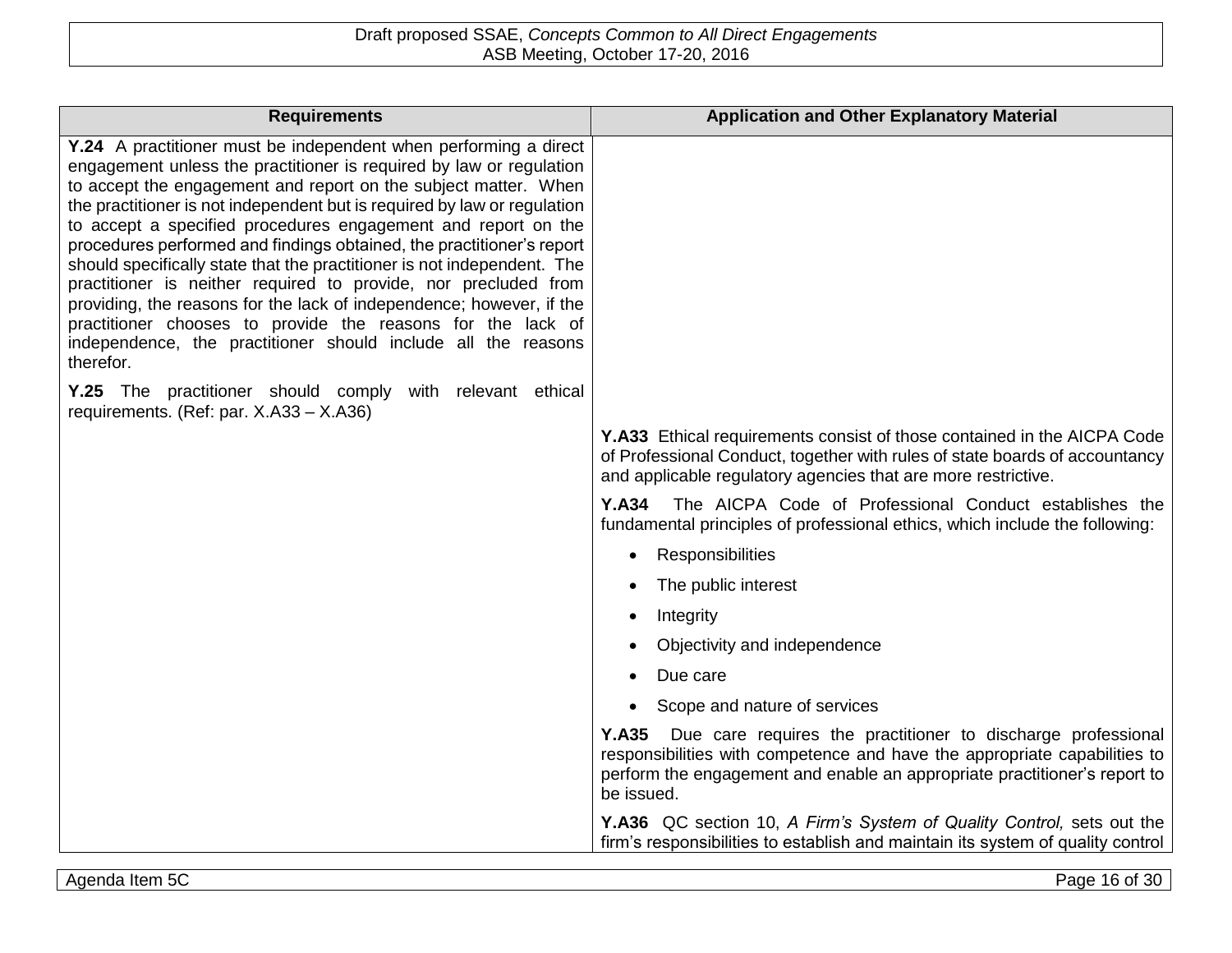| <b>Requirements</b>                                                                                                                                                                                                                                                                                                                                                                                                                                                                                                                                                                                                                                                                                                                                                                                 | <b>Application and Other Explanatory Material</b>                                                                                                                                                                                          |
|-----------------------------------------------------------------------------------------------------------------------------------------------------------------------------------------------------------------------------------------------------------------------------------------------------------------------------------------------------------------------------------------------------------------------------------------------------------------------------------------------------------------------------------------------------------------------------------------------------------------------------------------------------------------------------------------------------------------------------------------------------------------------------------------------------|--------------------------------------------------------------------------------------------------------------------------------------------------------------------------------------------------------------------------------------------|
| Y.24 A practitioner must be independent when performing a direct<br>engagement unless the practitioner is required by law or regulation<br>to accept the engagement and report on the subject matter. When<br>the practitioner is not independent but is required by law or regulation<br>to accept a specified procedures engagement and report on the<br>procedures performed and findings obtained, the practitioner's report<br>should specifically state that the practitioner is not independent. The<br>practitioner is neither required to provide, nor precluded from<br>providing, the reasons for the lack of independence; however, if the<br>practitioner chooses to provide the reasons for the lack of<br>independence, the practitioner should include all the reasons<br>therefor. |                                                                                                                                                                                                                                            |
| Y.25 The practitioner should comply with relevant ethical<br>requirements. (Ref: par. X.A33 - X.A36)                                                                                                                                                                                                                                                                                                                                                                                                                                                                                                                                                                                                                                                                                                |                                                                                                                                                                                                                                            |
|                                                                                                                                                                                                                                                                                                                                                                                                                                                                                                                                                                                                                                                                                                                                                                                                     | <b>Y.A33</b> Ethical requirements consist of those contained in the AICPA Code<br>of Professional Conduct, together with rules of state boards of accountancy<br>and applicable regulatory agencies that are more restrictive.             |
|                                                                                                                                                                                                                                                                                                                                                                                                                                                                                                                                                                                                                                                                                                                                                                                                     | <b>Y.A34</b><br>The AICPA Code of Professional Conduct establishes the<br>fundamental principles of professional ethics, which include the following:                                                                                      |
|                                                                                                                                                                                                                                                                                                                                                                                                                                                                                                                                                                                                                                                                                                                                                                                                     | Responsibilities                                                                                                                                                                                                                           |
|                                                                                                                                                                                                                                                                                                                                                                                                                                                                                                                                                                                                                                                                                                                                                                                                     | The public interest                                                                                                                                                                                                                        |
|                                                                                                                                                                                                                                                                                                                                                                                                                                                                                                                                                                                                                                                                                                                                                                                                     | Integrity                                                                                                                                                                                                                                  |
|                                                                                                                                                                                                                                                                                                                                                                                                                                                                                                                                                                                                                                                                                                                                                                                                     | Objectivity and independence                                                                                                                                                                                                               |
|                                                                                                                                                                                                                                                                                                                                                                                                                                                                                                                                                                                                                                                                                                                                                                                                     | Due care                                                                                                                                                                                                                                   |
|                                                                                                                                                                                                                                                                                                                                                                                                                                                                                                                                                                                                                                                                                                                                                                                                     | Scope and nature of services                                                                                                                                                                                                               |
|                                                                                                                                                                                                                                                                                                                                                                                                                                                                                                                                                                                                                                                                                                                                                                                                     | Y.A35 Due care requires the practitioner to discharge professional<br>responsibilities with competence and have the appropriate capabilities to<br>perform the engagement and enable an appropriate practitioner's report to<br>be issued. |
|                                                                                                                                                                                                                                                                                                                                                                                                                                                                                                                                                                                                                                                                                                                                                                                                     | Y.A36 QC section 10, A Firm's System of Quality Control, sets out the<br>firm's responsibilities to establish and maintain its system of quality control                                                                                   |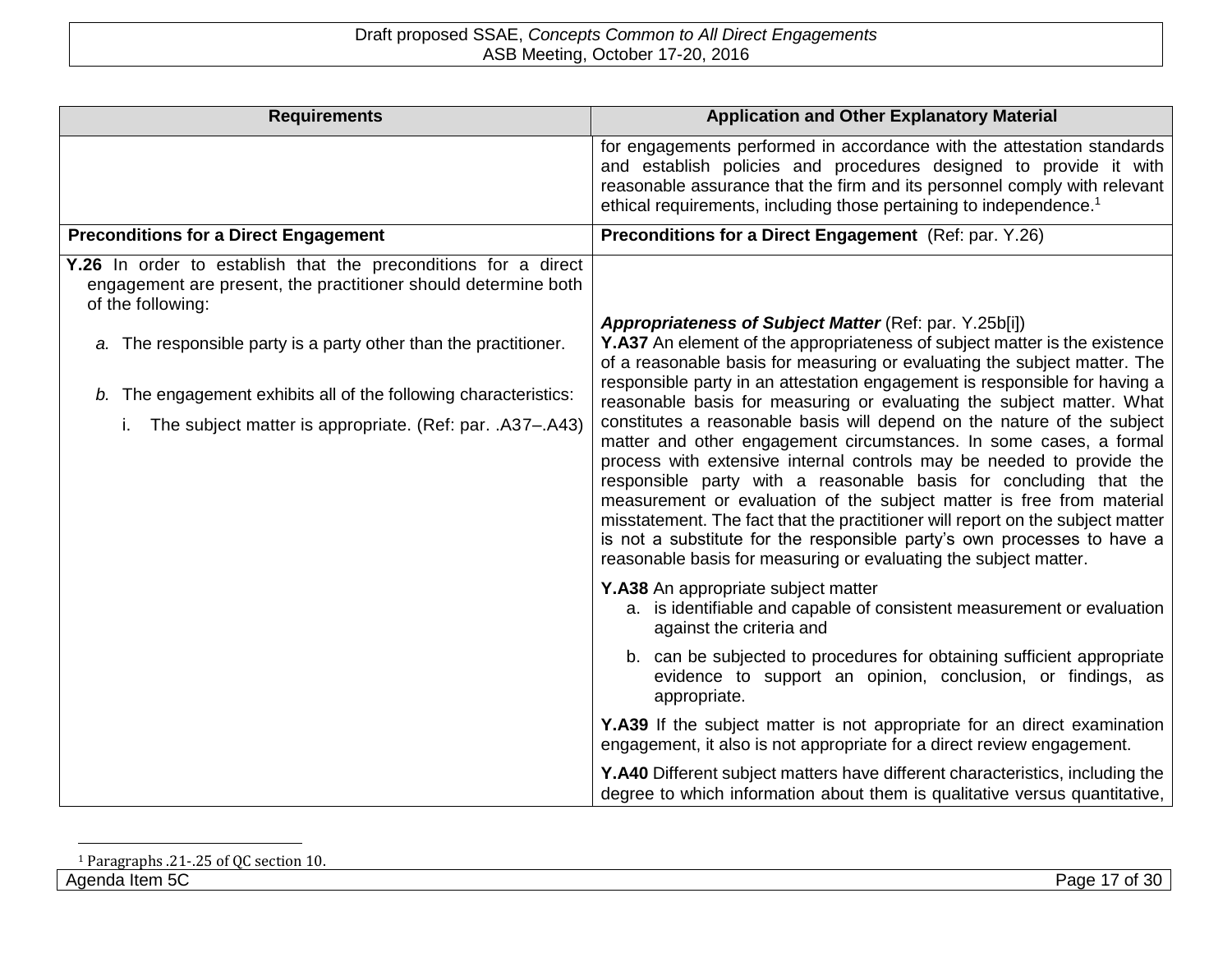| <b>Requirements</b>                                                                                                                                                                                                                                                                                                                                             | <b>Application and Other Explanatory Material</b>                                                                                                                                                                                                                                                                                                                                                                                                                                                                                                                                                                                                                                                                                                                                                                                                                                                                                                                                                                                                                                                                              |
|-----------------------------------------------------------------------------------------------------------------------------------------------------------------------------------------------------------------------------------------------------------------------------------------------------------------------------------------------------------------|--------------------------------------------------------------------------------------------------------------------------------------------------------------------------------------------------------------------------------------------------------------------------------------------------------------------------------------------------------------------------------------------------------------------------------------------------------------------------------------------------------------------------------------------------------------------------------------------------------------------------------------------------------------------------------------------------------------------------------------------------------------------------------------------------------------------------------------------------------------------------------------------------------------------------------------------------------------------------------------------------------------------------------------------------------------------------------------------------------------------------------|
|                                                                                                                                                                                                                                                                                                                                                                 | for engagements performed in accordance with the attestation standards<br>and establish policies and procedures designed to provide it with<br>reasonable assurance that the firm and its personnel comply with relevant<br>ethical requirements, including those pertaining to independence. <sup>1</sup>                                                                                                                                                                                                                                                                                                                                                                                                                                                                                                                                                                                                                                                                                                                                                                                                                     |
| <b>Preconditions for a Direct Engagement</b>                                                                                                                                                                                                                                                                                                                    | Preconditions for a Direct Engagement (Ref: par. Y.26)                                                                                                                                                                                                                                                                                                                                                                                                                                                                                                                                                                                                                                                                                                                                                                                                                                                                                                                                                                                                                                                                         |
| Y.26 In order to establish that the preconditions for a direct<br>engagement are present, the practitioner should determine both<br>of the following:<br>a. The responsible party is a party other than the practitioner.<br>b. The engagement exhibits all of the following characteristics:<br>The subject matter is appropriate. (Ref: par. .A37-.A43)<br>Τ. | Appropriateness of Subject Matter (Ref: par. Y.25b[i])<br>Y.A37 An element of the appropriateness of subject matter is the existence<br>of a reasonable basis for measuring or evaluating the subject matter. The<br>responsible party in an attestation engagement is responsible for having a<br>reasonable basis for measuring or evaluating the subject matter. What<br>constitutes a reasonable basis will depend on the nature of the subject<br>matter and other engagement circumstances. In some cases, a formal<br>process with extensive internal controls may be needed to provide the<br>responsible party with a reasonable basis for concluding that the<br>measurement or evaluation of the subject matter is free from material<br>misstatement. The fact that the practitioner will report on the subject matter<br>is not a substitute for the responsible party's own processes to have a<br>reasonable basis for measuring or evaluating the subject matter.<br>Y.A38 An appropriate subject matter<br>a. is identifiable and capable of consistent measurement or evaluation<br>against the criteria and |
|                                                                                                                                                                                                                                                                                                                                                                 | b. can be subjected to procedures for obtaining sufficient appropriate<br>evidence to support an opinion, conclusion, or findings, as<br>appropriate.                                                                                                                                                                                                                                                                                                                                                                                                                                                                                                                                                                                                                                                                                                                                                                                                                                                                                                                                                                          |
|                                                                                                                                                                                                                                                                                                                                                                 | Y.A39 If the subject matter is not appropriate for an direct examination<br>engagement, it also is not appropriate for a direct review engagement.                                                                                                                                                                                                                                                                                                                                                                                                                                                                                                                                                                                                                                                                                                                                                                                                                                                                                                                                                                             |
|                                                                                                                                                                                                                                                                                                                                                                 | Y.A40 Different subject matters have different characteristics, including the<br>degree to which information about them is qualitative versus quantitative,                                                                                                                                                                                                                                                                                                                                                                                                                                                                                                                                                                                                                                                                                                                                                                                                                                                                                                                                                                    |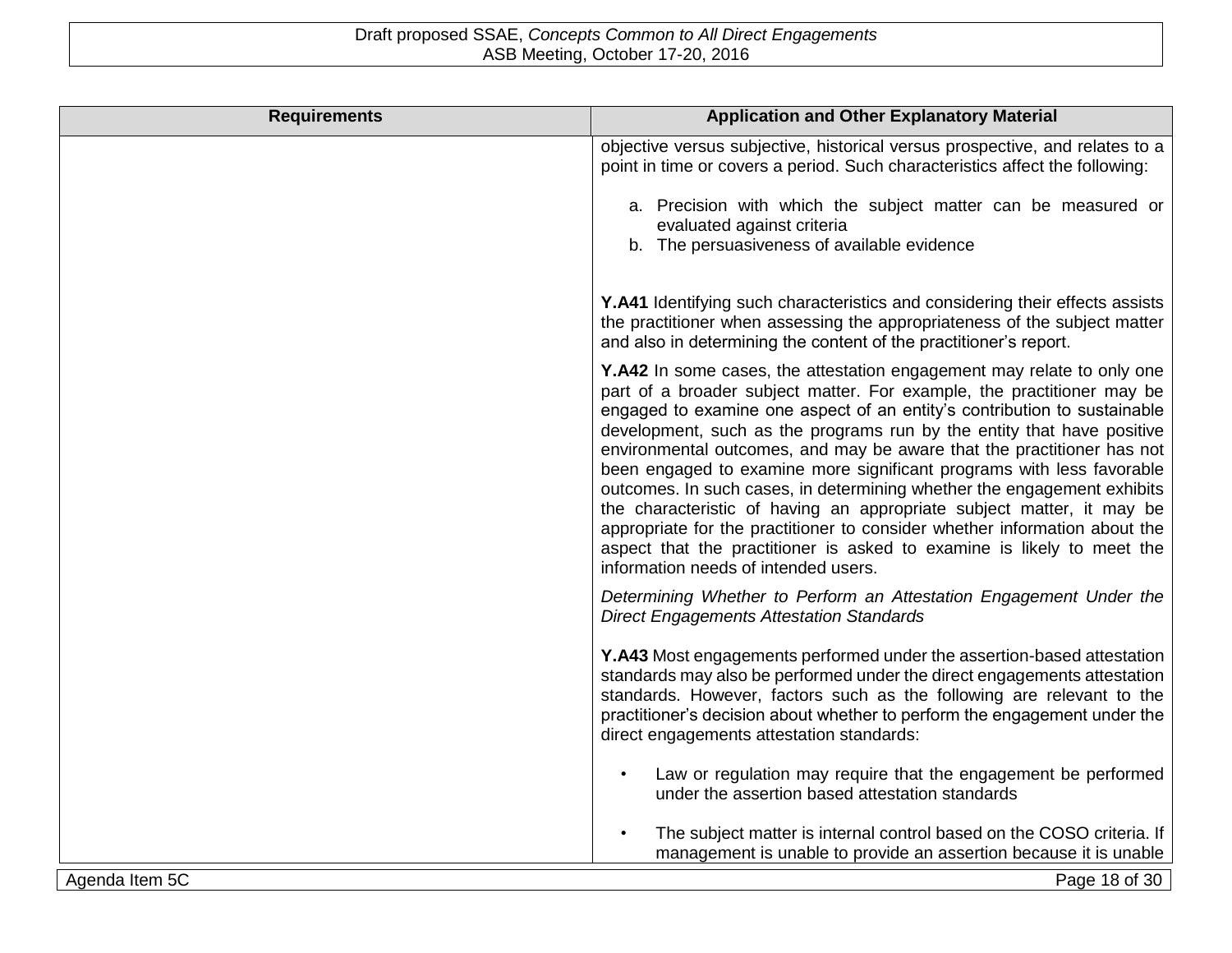| <b>Requirements</b> | <b>Application and Other Explanatory Material</b>                                                                                                                                                                                                                                                                                                                                                                                                                                                                                                                                                                                                                                                                                                                                                             |
|---------------------|---------------------------------------------------------------------------------------------------------------------------------------------------------------------------------------------------------------------------------------------------------------------------------------------------------------------------------------------------------------------------------------------------------------------------------------------------------------------------------------------------------------------------------------------------------------------------------------------------------------------------------------------------------------------------------------------------------------------------------------------------------------------------------------------------------------|
|                     | objective versus subjective, historical versus prospective, and relates to a<br>point in time or covers a period. Such characteristics affect the following:                                                                                                                                                                                                                                                                                                                                                                                                                                                                                                                                                                                                                                                  |
|                     | a. Precision with which the subject matter can be measured or<br>evaluated against criteria<br>b. The persuasiveness of available evidence                                                                                                                                                                                                                                                                                                                                                                                                                                                                                                                                                                                                                                                                    |
|                     | Y.A41 Identifying such characteristics and considering their effects assists<br>the practitioner when assessing the appropriateness of the subject matter<br>and also in determining the content of the practitioner's report.                                                                                                                                                                                                                                                                                                                                                                                                                                                                                                                                                                                |
|                     | Y.A42 In some cases, the attestation engagement may relate to only one<br>part of a broader subject matter. For example, the practitioner may be<br>engaged to examine one aspect of an entity's contribution to sustainable<br>development, such as the programs run by the entity that have positive<br>environmental outcomes, and may be aware that the practitioner has not<br>been engaged to examine more significant programs with less favorable<br>outcomes. In such cases, in determining whether the engagement exhibits<br>the characteristic of having an appropriate subject matter, it may be<br>appropriate for the practitioner to consider whether information about the<br>aspect that the practitioner is asked to examine is likely to meet the<br>information needs of intended users. |
|                     | Determining Whether to Perform an Attestation Engagement Under the<br><b>Direct Engagements Attestation Standards</b>                                                                                                                                                                                                                                                                                                                                                                                                                                                                                                                                                                                                                                                                                         |
|                     | Y.A43 Most engagements performed under the assertion-based attestation<br>standards may also be performed under the direct engagements attestation<br>standards. However, factors such as the following are relevant to the<br>practitioner's decision about whether to perform the engagement under the<br>direct engagements attestation standards:                                                                                                                                                                                                                                                                                                                                                                                                                                                         |
|                     | Law or regulation may require that the engagement be performed<br>under the assertion based attestation standards                                                                                                                                                                                                                                                                                                                                                                                                                                                                                                                                                                                                                                                                                             |
|                     | The subject matter is internal control based on the COSO criteria. If<br>management is unable to provide an assertion because it is unable                                                                                                                                                                                                                                                                                                                                                                                                                                                                                                                                                                                                                                                                    |
| Agenda Item 5C      | Page 18 of 30                                                                                                                                                                                                                                                                                                                                                                                                                                                                                                                                                                                                                                                                                                                                                                                                 |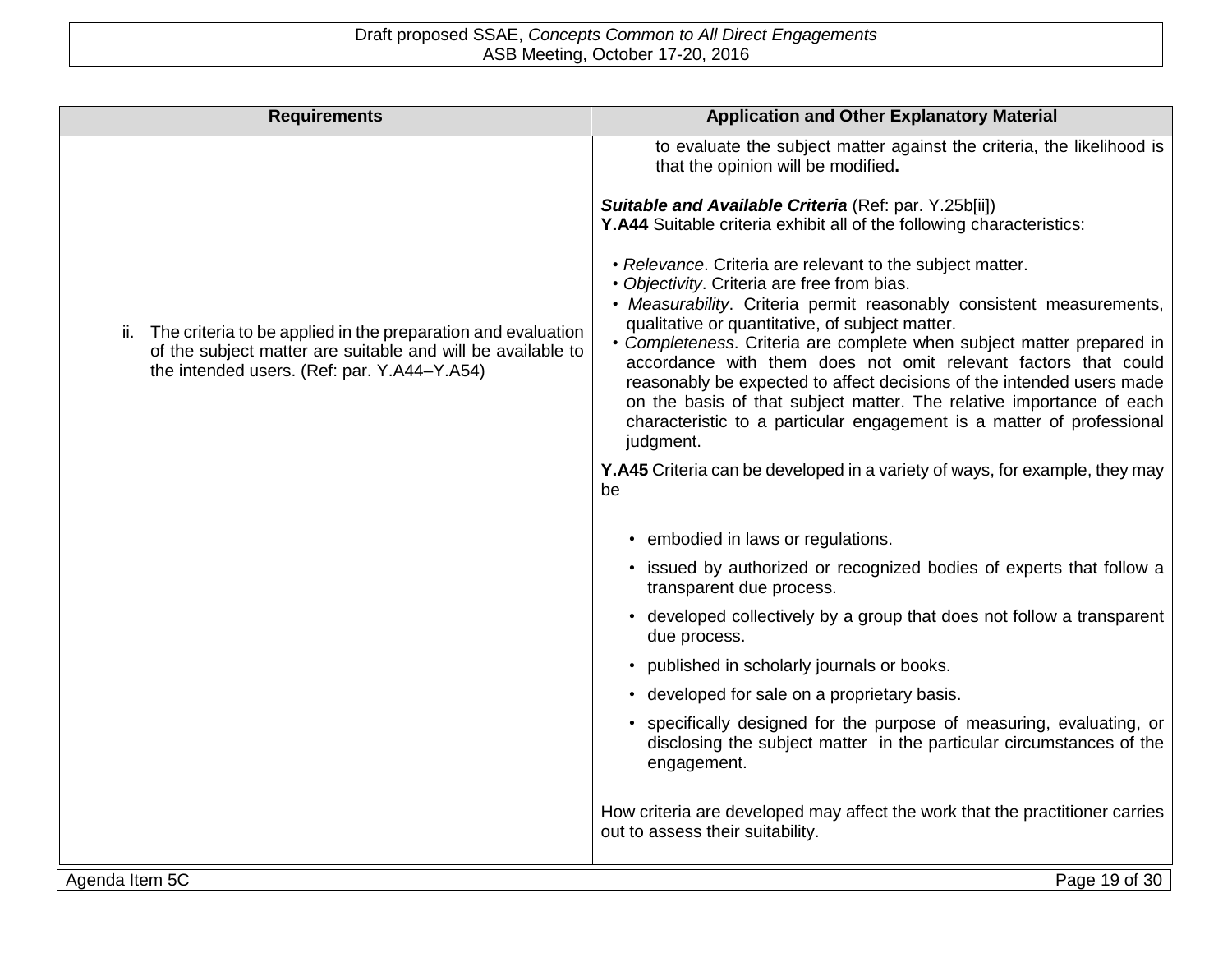| <b>Requirements</b>                                                                                                                                                            | <b>Application and Other Explanatory Material</b>                                                                                                                                                                                                                                                                                                                              |
|--------------------------------------------------------------------------------------------------------------------------------------------------------------------------------|--------------------------------------------------------------------------------------------------------------------------------------------------------------------------------------------------------------------------------------------------------------------------------------------------------------------------------------------------------------------------------|
|                                                                                                                                                                                | to evaluate the subject matter against the criteria, the likelihood is<br>that the opinion will be modified.                                                                                                                                                                                                                                                                   |
|                                                                                                                                                                                | Suitable and Available Criteria (Ref: par. Y.25b[ii])<br>Y.A44 Suitable criteria exhibit all of the following characteristics:                                                                                                                                                                                                                                                 |
|                                                                                                                                                                                | • Relevance. Criteria are relevant to the subject matter.<br>• Objectivity. Criteria are free from bias.                                                                                                                                                                                                                                                                       |
|                                                                                                                                                                                | • Measurability. Criteria permit reasonably consistent measurements,<br>qualitative or quantitative, of subject matter.                                                                                                                                                                                                                                                        |
| ii. The criteria to be applied in the preparation and evaluation<br>of the subject matter are suitable and will be available to<br>the intended users. (Ref: par. Y.A44-Y.A54) | • Completeness. Criteria are complete when subject matter prepared in<br>accordance with them does not omit relevant factors that could<br>reasonably be expected to affect decisions of the intended users made<br>on the basis of that subject matter. The relative importance of each<br>characteristic to a particular engagement is a matter of professional<br>judgment. |
|                                                                                                                                                                                | Y.A45 Criteria can be developed in a variety of ways, for example, they may<br>be                                                                                                                                                                                                                                                                                              |
|                                                                                                                                                                                | • embodied in laws or regulations.                                                                                                                                                                                                                                                                                                                                             |
|                                                                                                                                                                                | • issued by authorized or recognized bodies of experts that follow a<br>transparent due process.                                                                                                                                                                                                                                                                               |
|                                                                                                                                                                                | • developed collectively by a group that does not follow a transparent<br>due process.                                                                                                                                                                                                                                                                                         |
|                                                                                                                                                                                | • published in scholarly journals or books.                                                                                                                                                                                                                                                                                                                                    |
|                                                                                                                                                                                | • developed for sale on a proprietary basis.                                                                                                                                                                                                                                                                                                                                   |
|                                                                                                                                                                                | • specifically designed for the purpose of measuring, evaluating, or<br>disclosing the subject matter in the particular circumstances of the<br>engagement.                                                                                                                                                                                                                    |
|                                                                                                                                                                                | How criteria are developed may affect the work that the practitioner carries<br>out to assess their suitability.                                                                                                                                                                                                                                                               |
| Agenda Item 5C                                                                                                                                                                 | Page 19 of 30                                                                                                                                                                                                                                                                                                                                                                  |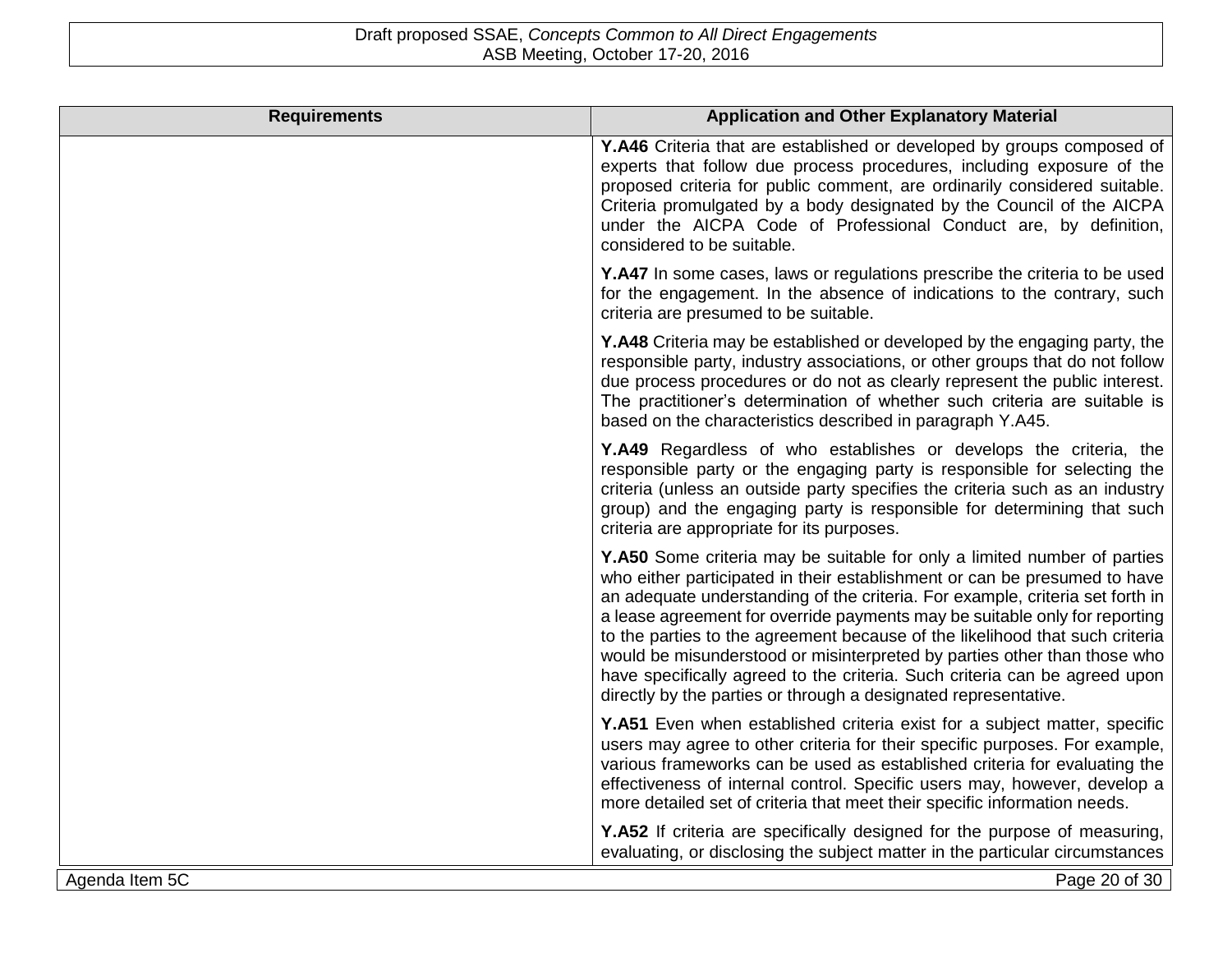| <b>Requirements</b> | <b>Application and Other Explanatory Material</b>                                                                                                                                                                                                                                                                                                                                                                                                                                                                                                                                                                                 |
|---------------------|-----------------------------------------------------------------------------------------------------------------------------------------------------------------------------------------------------------------------------------------------------------------------------------------------------------------------------------------------------------------------------------------------------------------------------------------------------------------------------------------------------------------------------------------------------------------------------------------------------------------------------------|
|                     | Y.A46 Criteria that are established or developed by groups composed of<br>experts that follow due process procedures, including exposure of the<br>proposed criteria for public comment, are ordinarily considered suitable.<br>Criteria promulgated by a body designated by the Council of the AICPA<br>under the AICPA Code of Professional Conduct are, by definition,<br>considered to be suitable.                                                                                                                                                                                                                           |
|                     | Y.A47 In some cases, laws or regulations prescribe the criteria to be used<br>for the engagement. In the absence of indications to the contrary, such<br>criteria are presumed to be suitable.                                                                                                                                                                                                                                                                                                                                                                                                                                    |
|                     | Y.A48 Criteria may be established or developed by the engaging party, the<br>responsible party, industry associations, or other groups that do not follow<br>due process procedures or do not as clearly represent the public interest.<br>The practitioner's determination of whether such criteria are suitable is<br>based on the characteristics described in paragraph Y.A45.                                                                                                                                                                                                                                                |
|                     | <b>Y.A49</b> Regardless of who establishes or develops the criteria, the<br>responsible party or the engaging party is responsible for selecting the<br>criteria (unless an outside party specifies the criteria such as an industry<br>group) and the engaging party is responsible for determining that such<br>criteria are appropriate for its purposes.                                                                                                                                                                                                                                                                      |
|                     | Y.A50 Some criteria may be suitable for only a limited number of parties<br>who either participated in their establishment or can be presumed to have<br>an adequate understanding of the criteria. For example, criteria set forth in<br>a lease agreement for override payments may be suitable only for reporting<br>to the parties to the agreement because of the likelihood that such criteria<br>would be misunderstood or misinterpreted by parties other than those who<br>have specifically agreed to the criteria. Such criteria can be agreed upon<br>directly by the parties or through a designated representative. |
|                     | Y.A51 Even when established criteria exist for a subject matter, specific<br>users may agree to other criteria for their specific purposes. For example,<br>various frameworks can be used as established criteria for evaluating the<br>effectiveness of internal control. Specific users may, however, develop a<br>more detailed set of criteria that meet their specific information needs.                                                                                                                                                                                                                                   |
|                     | Y.A52 If criteria are specifically designed for the purpose of measuring,<br>evaluating, or disclosing the subject matter in the particular circumstances                                                                                                                                                                                                                                                                                                                                                                                                                                                                         |
| Agenda Item 5C      | Page 20 of 30                                                                                                                                                                                                                                                                                                                                                                                                                                                                                                                                                                                                                     |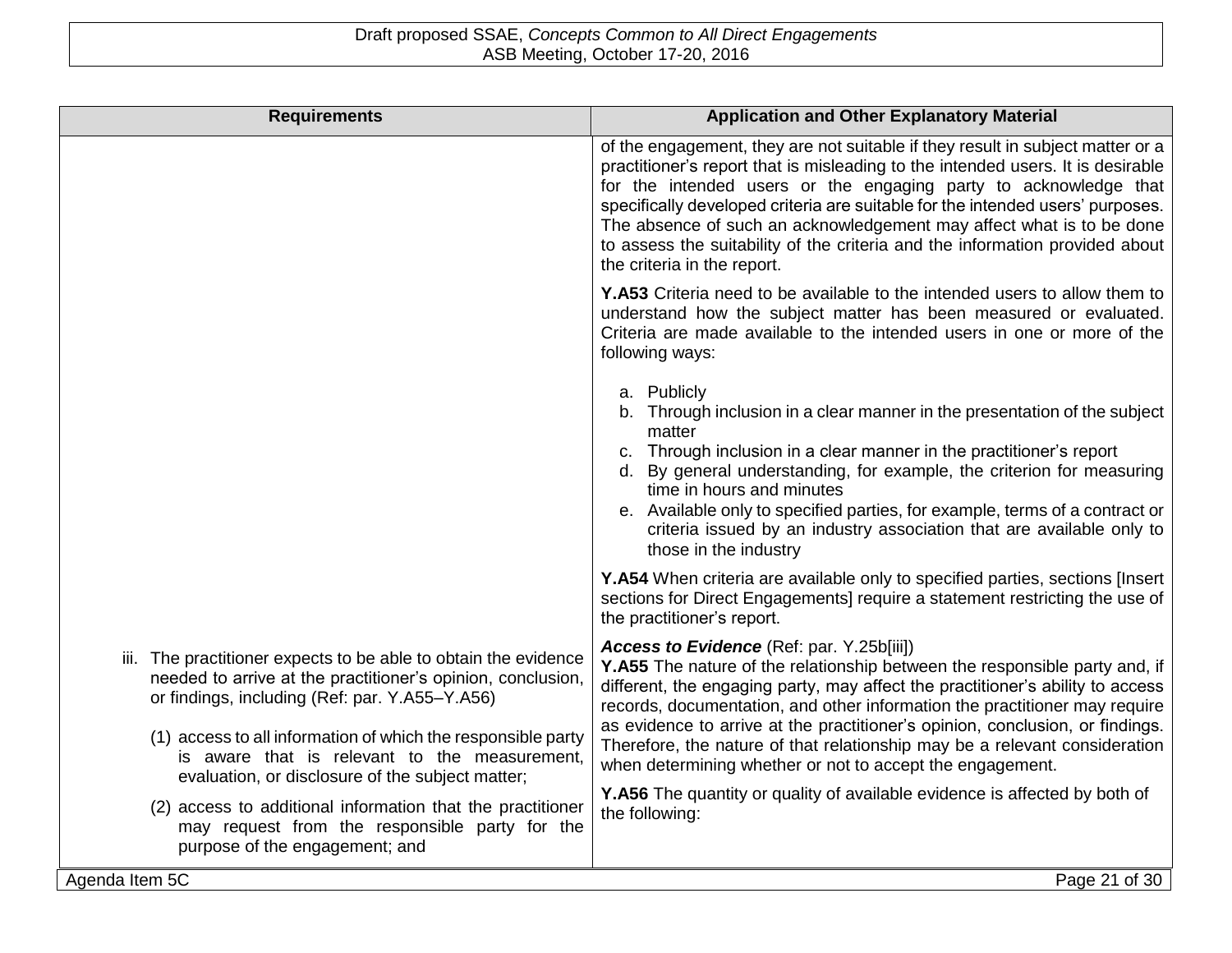| <b>Requirements</b>                                                                                                                                                              | <b>Application and Other Explanatory Material</b>                                                                                                                                                                                                                                                                                                                                                                                                                                                              |
|----------------------------------------------------------------------------------------------------------------------------------------------------------------------------------|----------------------------------------------------------------------------------------------------------------------------------------------------------------------------------------------------------------------------------------------------------------------------------------------------------------------------------------------------------------------------------------------------------------------------------------------------------------------------------------------------------------|
|                                                                                                                                                                                  | of the engagement, they are not suitable if they result in subject matter or a<br>practitioner's report that is misleading to the intended users. It is desirable<br>for the intended users or the engaging party to acknowledge that<br>specifically developed criteria are suitable for the intended users' purposes.<br>The absence of such an acknowledgement may affect what is to be done<br>to assess the suitability of the criteria and the information provided about<br>the criteria in the report. |
|                                                                                                                                                                                  | <b>Y.A53</b> Criteria need to be available to the intended users to allow them to<br>understand how the subject matter has been measured or evaluated.<br>Criteria are made available to the intended users in one or more of the<br>following ways:                                                                                                                                                                                                                                                           |
|                                                                                                                                                                                  | a. Publicly<br>b. Through inclusion in a clear manner in the presentation of the subject<br>matter<br>c. Through inclusion in a clear manner in the practitioner's report<br>d. By general understanding, for example, the criterion for measuring<br>time in hours and minutes<br>e. Available only to specified parties, for example, terms of a contract or<br>criteria issued by an industry association that are available only to<br>those in the industry                                               |
|                                                                                                                                                                                  | Y.A54 When criteria are available only to specified parties, sections [Insert]<br>sections for Direct Engagements] require a statement restricting the use of<br>the practitioner's report.                                                                                                                                                                                                                                                                                                                    |
| iii. The practitioner expects to be able to obtain the evidence<br>needed to arrive at the practitioner's opinion, conclusion,<br>or findings, including (Ref: par. Y.A55-Y.A56) | Access to Evidence (Ref: par. Y.25b[iii])<br>Y.A55 The nature of the relationship between the responsible party and, if<br>different, the engaging party, may affect the practitioner's ability to access<br>records, documentation, and other information the practitioner may require                                                                                                                                                                                                                        |
| (1) access to all information of which the responsible party<br>is aware that is relevant to the measurement,<br>evaluation, or disclosure of the subject matter;                | as evidence to arrive at the practitioner's opinion, conclusion, or findings.<br>Therefore, the nature of that relationship may be a relevant consideration<br>when determining whether or not to accept the engagement.                                                                                                                                                                                                                                                                                       |
| (2) access to additional information that the practitioner<br>may request from the responsible party for the<br>purpose of the engagement; and                                   | <b>Y.A56</b> The quantity or quality of available evidence is affected by both of<br>the following:                                                                                                                                                                                                                                                                                                                                                                                                            |
| Agenda Item 5C                                                                                                                                                                   | Page 21 of 30                                                                                                                                                                                                                                                                                                                                                                                                                                                                                                  |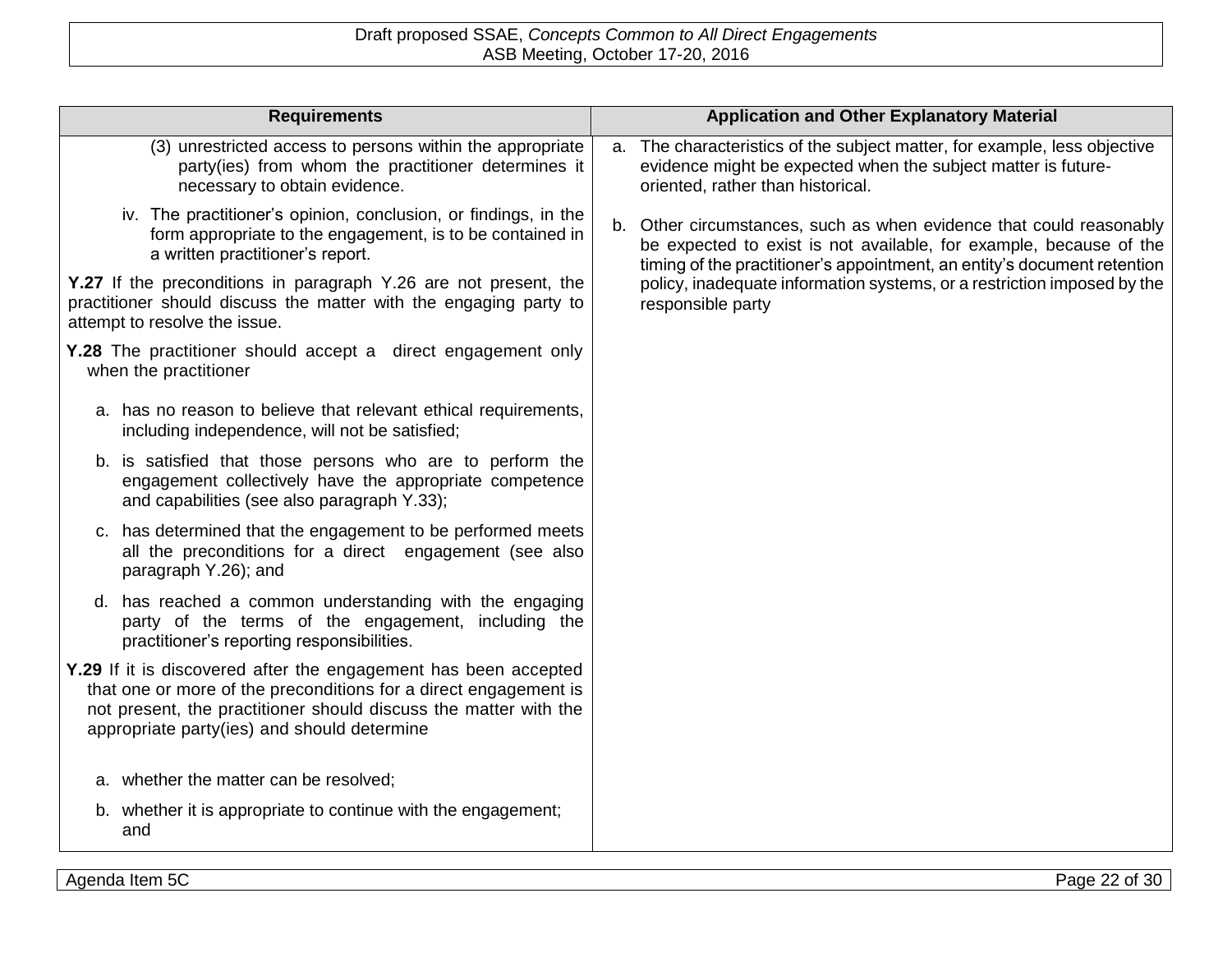| <b>Requirements</b>                                                                                                                                                                                                                                    | <b>Application and Other Explanatory Material</b>                                                                                                                                                                        |
|--------------------------------------------------------------------------------------------------------------------------------------------------------------------------------------------------------------------------------------------------------|--------------------------------------------------------------------------------------------------------------------------------------------------------------------------------------------------------------------------|
| (3) unrestricted access to persons within the appropriate<br>party(ies) from whom the practitioner determines it<br>necessary to obtain evidence.                                                                                                      | The characteristics of the subject matter, for example, less objective<br>a.<br>evidence might be expected when the subject matter is future-<br>oriented, rather than historical.                                       |
| iv. The practitioner's opinion, conclusion, or findings, in the<br>form appropriate to the engagement, is to be contained in<br>a written practitioner's report.                                                                                       | Other circumstances, such as when evidence that could reasonably<br>b.<br>be expected to exist is not available, for example, because of the<br>timing of the practitioner's appointment, an entity's document retention |
| Y.27 If the preconditions in paragraph Y.26 are not present, the<br>practitioner should discuss the matter with the engaging party to<br>attempt to resolve the issue.                                                                                 | policy, inadequate information systems, or a restriction imposed by the<br>responsible party                                                                                                                             |
| <b>Y.28</b> The practitioner should accept a direct engagement only<br>when the practitioner                                                                                                                                                           |                                                                                                                                                                                                                          |
| a. has no reason to believe that relevant ethical requirements,<br>including independence, will not be satisfied;                                                                                                                                      |                                                                                                                                                                                                                          |
| b. is satisfied that those persons who are to perform the<br>engagement collectively have the appropriate competence<br>and capabilities (see also paragraph Y.33);                                                                                    |                                                                                                                                                                                                                          |
| c. has determined that the engagement to be performed meets<br>all the preconditions for a direct engagement (see also<br>paragraph Y.26); and                                                                                                         |                                                                                                                                                                                                                          |
| d. has reached a common understanding with the engaging<br>party of the terms of the engagement, including the<br>practitioner's reporting responsibilities.                                                                                           |                                                                                                                                                                                                                          |
| Y.29 If it is discovered after the engagement has been accepted<br>that one or more of the preconditions for a direct engagement is<br>not present, the practitioner should discuss the matter with the<br>appropriate party(ies) and should determine |                                                                                                                                                                                                                          |
| a. whether the matter can be resolved;                                                                                                                                                                                                                 |                                                                                                                                                                                                                          |
| b. whether it is appropriate to continue with the engagement;<br>and                                                                                                                                                                                   |                                                                                                                                                                                                                          |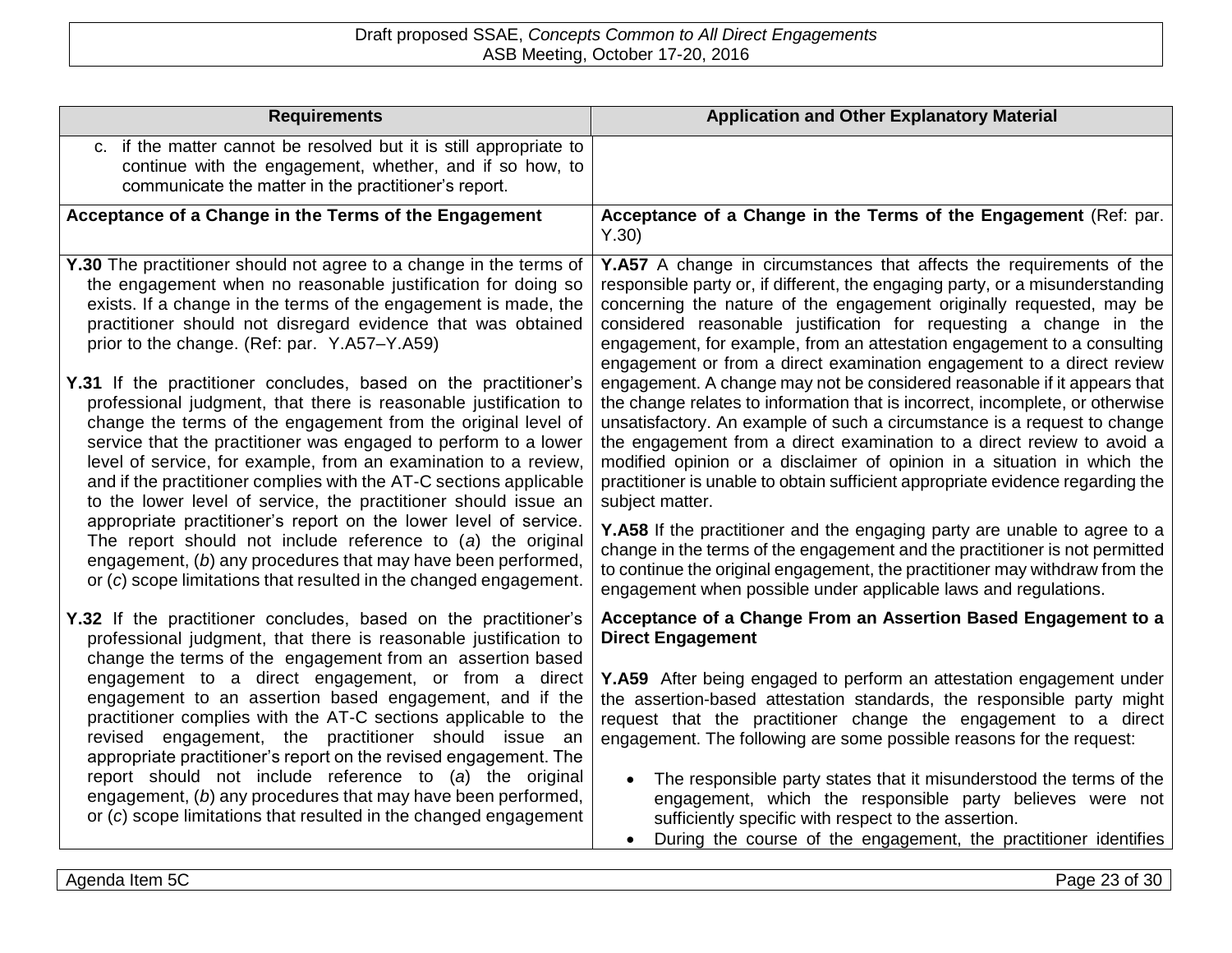| <b>Requirements</b>                                                                                                                                                                                                                                                                                                                                                                                                                                                                 | <b>Application and Other Explanatory Material</b>                                                                                                                                                                                                                                                                                                                                                                                                                                               |
|-------------------------------------------------------------------------------------------------------------------------------------------------------------------------------------------------------------------------------------------------------------------------------------------------------------------------------------------------------------------------------------------------------------------------------------------------------------------------------------|-------------------------------------------------------------------------------------------------------------------------------------------------------------------------------------------------------------------------------------------------------------------------------------------------------------------------------------------------------------------------------------------------------------------------------------------------------------------------------------------------|
| c. if the matter cannot be resolved but it is still appropriate to<br>continue with the engagement, whether, and if so how, to<br>communicate the matter in the practitioner's report.                                                                                                                                                                                                                                                                                              |                                                                                                                                                                                                                                                                                                                                                                                                                                                                                                 |
| Acceptance of a Change in the Terms of the Engagement                                                                                                                                                                                                                                                                                                                                                                                                                               | Acceptance of a Change in the Terms of the Engagement (Ref: par.<br>Y.30)                                                                                                                                                                                                                                                                                                                                                                                                                       |
| Y.30 The practitioner should not agree to a change in the terms of<br>the engagement when no reasonable justification for doing so<br>exists. If a change in the terms of the engagement is made, the<br>practitioner should not disregard evidence that was obtained<br>prior to the change. (Ref: par. Y.A57-Y.A59)                                                                                                                                                               | Y.A57 A change in circumstances that affects the requirements of the<br>responsible party or, if different, the engaging party, or a misunderstanding<br>concerning the nature of the engagement originally requested, may be<br>considered reasonable justification for requesting a change in the<br>engagement, for example, from an attestation engagement to a consulting<br>engagement or from a direct examination engagement to a direct review                                         |
| Y.31 If the practitioner concludes, based on the practitioner's<br>professional judgment, that there is reasonable justification to<br>change the terms of the engagement from the original level of<br>service that the practitioner was engaged to perform to a lower<br>level of service, for example, from an examination to a review,<br>and if the practitioner complies with the AT-C sections applicable<br>to the lower level of service, the practitioner should issue an | engagement. A change may not be considered reasonable if it appears that<br>the change relates to information that is incorrect, incomplete, or otherwise<br>unsatisfactory. An example of such a circumstance is a request to change<br>the engagement from a direct examination to a direct review to avoid a<br>modified opinion or a disclaimer of opinion in a situation in which the<br>practitioner is unable to obtain sufficient appropriate evidence regarding the<br>subject matter. |
| appropriate practitioner's report on the lower level of service.<br>The report should not include reference to $(a)$ the original<br>engagement, (b) any procedures that may have been performed,<br>or (c) scope limitations that resulted in the changed engagement.                                                                                                                                                                                                              | Y.A58 If the practitioner and the engaging party are unable to agree to a<br>change in the terms of the engagement and the practitioner is not permitted<br>to continue the original engagement, the practitioner may withdraw from the<br>engagement when possible under applicable laws and regulations.                                                                                                                                                                                      |
| Y.32 If the practitioner concludes, based on the practitioner's<br>professional judgment, that there is reasonable justification to<br>change the terms of the engagement from an assertion based                                                                                                                                                                                                                                                                                   | Acceptance of a Change From an Assertion Based Engagement to a<br><b>Direct Engagement</b>                                                                                                                                                                                                                                                                                                                                                                                                      |
| engagement to a direct engagement, or from a direct<br>engagement to an assertion based engagement, and if the<br>practitioner complies with the AT-C sections applicable to the<br>revised engagement, the practitioner should issue an<br>appropriate practitioner's report on the revised engagement. The                                                                                                                                                                        | Y.A59 After being engaged to perform an attestation engagement under<br>the assertion-based attestation standards, the responsible party might<br>request that the practitioner change the engagement to a direct<br>engagement. The following are some possible reasons for the request:                                                                                                                                                                                                       |
| report should not include reference to (a) the original<br>engagement, (b) any procedures that may have been performed,<br>or (c) scope limitations that resulted in the changed engagement                                                                                                                                                                                                                                                                                         | The responsible party states that it misunderstood the terms of the<br>engagement, which the responsible party believes were not<br>sufficiently specific with respect to the assertion.<br>During the course of the engagement, the practitioner identifies<br>$\bullet$                                                                                                                                                                                                                       |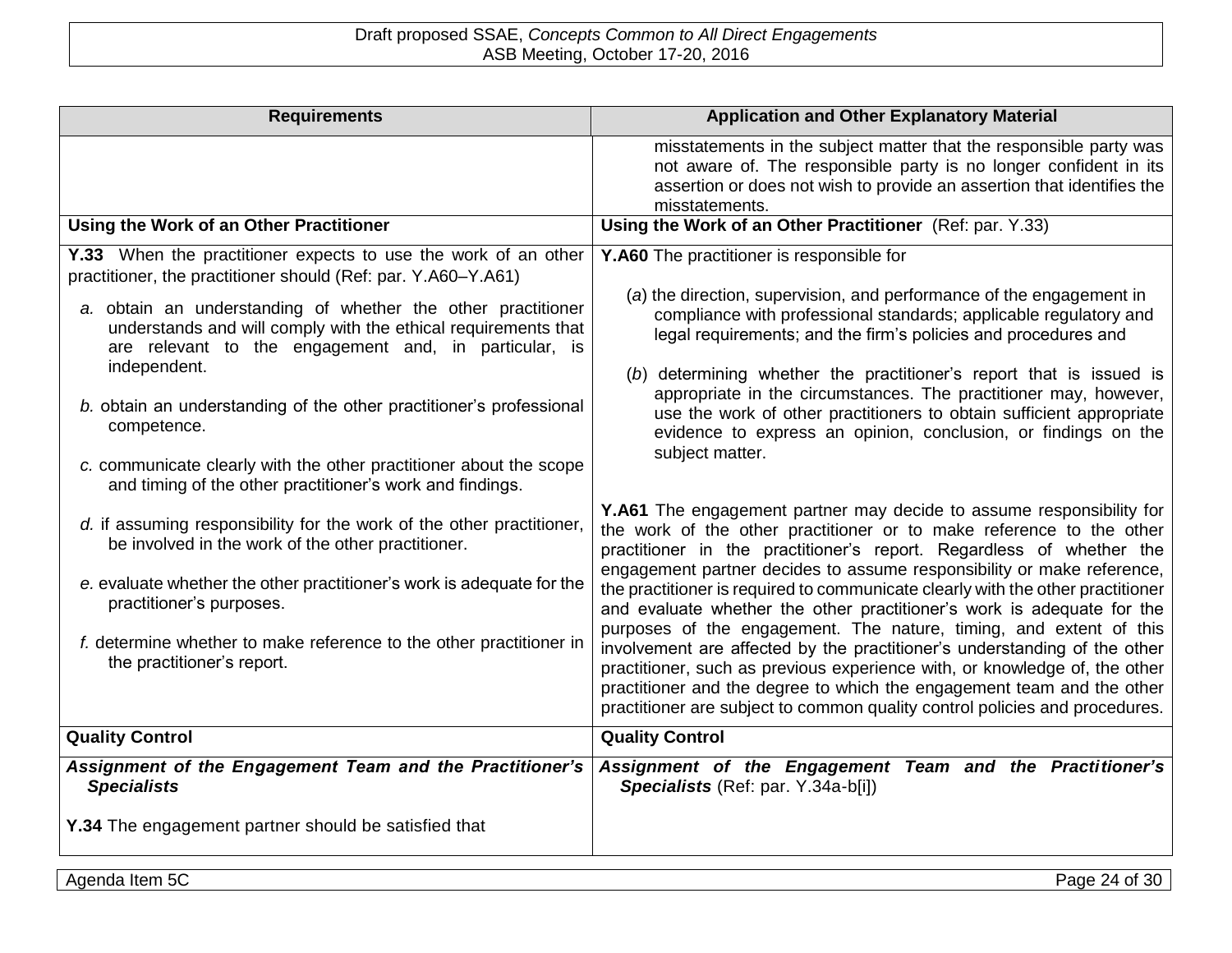| <b>Requirements</b>                                                                                                                                                                                                                                                                                                                                                                                                                                                                                                                                                 | <b>Application and Other Explanatory Material</b>                                                                                                                                                                                                                                                                                                                                                                                                                                                                                                                                                                                                                                                                                                                             |
|---------------------------------------------------------------------------------------------------------------------------------------------------------------------------------------------------------------------------------------------------------------------------------------------------------------------------------------------------------------------------------------------------------------------------------------------------------------------------------------------------------------------------------------------------------------------|-------------------------------------------------------------------------------------------------------------------------------------------------------------------------------------------------------------------------------------------------------------------------------------------------------------------------------------------------------------------------------------------------------------------------------------------------------------------------------------------------------------------------------------------------------------------------------------------------------------------------------------------------------------------------------------------------------------------------------------------------------------------------------|
|                                                                                                                                                                                                                                                                                                                                                                                                                                                                                                                                                                     | misstatements in the subject matter that the responsible party was<br>not aware of. The responsible party is no longer confident in its<br>assertion or does not wish to provide an assertion that identifies the<br>misstatements.                                                                                                                                                                                                                                                                                                                                                                                                                                                                                                                                           |
| Using the Work of an Other Practitioner                                                                                                                                                                                                                                                                                                                                                                                                                                                                                                                             | Using the Work of an Other Practitioner (Ref: par. Y.33)                                                                                                                                                                                                                                                                                                                                                                                                                                                                                                                                                                                                                                                                                                                      |
| Y.33 When the practitioner expects to use the work of an other<br>practitioner, the practitioner should (Ref: par. Y.A60-Y.A61)<br>a. obtain an understanding of whether the other practitioner<br>understands and will comply with the ethical requirements that<br>are relevant to the engagement and, in particular, is<br>independent.<br>b. obtain an understanding of the other practitioner's professional<br>competence.<br>c. communicate clearly with the other practitioner about the scope<br>and timing of the other practitioner's work and findings. | Y.A60 The practitioner is responsible for<br>(a) the direction, supervision, and performance of the engagement in<br>compliance with professional standards; applicable regulatory and<br>legal requirements; and the firm's policies and procedures and<br>(b) determining whether the practitioner's report that is issued is<br>appropriate in the circumstances. The practitioner may, however,<br>use the work of other practitioners to obtain sufficient appropriate<br>evidence to express an opinion, conclusion, or findings on the<br>subject matter.<br>Y.A61 The engagement partner may decide to assume responsibility for                                                                                                                                      |
| d. if assuming responsibility for the work of the other practitioner,<br>be involved in the work of the other practitioner.<br>e. evaluate whether the other practitioner's work is adequate for the<br>practitioner's purposes.<br>f. determine whether to make reference to the other practitioner in<br>the practitioner's report.                                                                                                                                                                                                                               | the work of the other practitioner or to make reference to the other<br>practitioner in the practitioner's report. Regardless of whether the<br>engagement partner decides to assume responsibility or make reference,<br>the practitioner is required to communicate clearly with the other practitioner<br>and evaluate whether the other practitioner's work is adequate for the<br>purposes of the engagement. The nature, timing, and extent of this<br>involvement are affected by the practitioner's understanding of the other<br>practitioner, such as previous experience with, or knowledge of, the other<br>practitioner and the degree to which the engagement team and the other<br>practitioner are subject to common quality control policies and procedures. |
| <b>Quality Control</b>                                                                                                                                                                                                                                                                                                                                                                                                                                                                                                                                              | <b>Quality Control</b>                                                                                                                                                                                                                                                                                                                                                                                                                                                                                                                                                                                                                                                                                                                                                        |
| Assignment of the Engagement Team and the Practitioner's<br><b>Specialists</b><br>Y.34 The engagement partner should be satisfied that                                                                                                                                                                                                                                                                                                                                                                                                                              | Assignment of the Engagement Team and the Practitioner's<br>Specialists (Ref: par. Y.34a-b[i])                                                                                                                                                                                                                                                                                                                                                                                                                                                                                                                                                                                                                                                                                |
|                                                                                                                                                                                                                                                                                                                                                                                                                                                                                                                                                                     |                                                                                                                                                                                                                                                                                                                                                                                                                                                                                                                                                                                                                                                                                                                                                                               |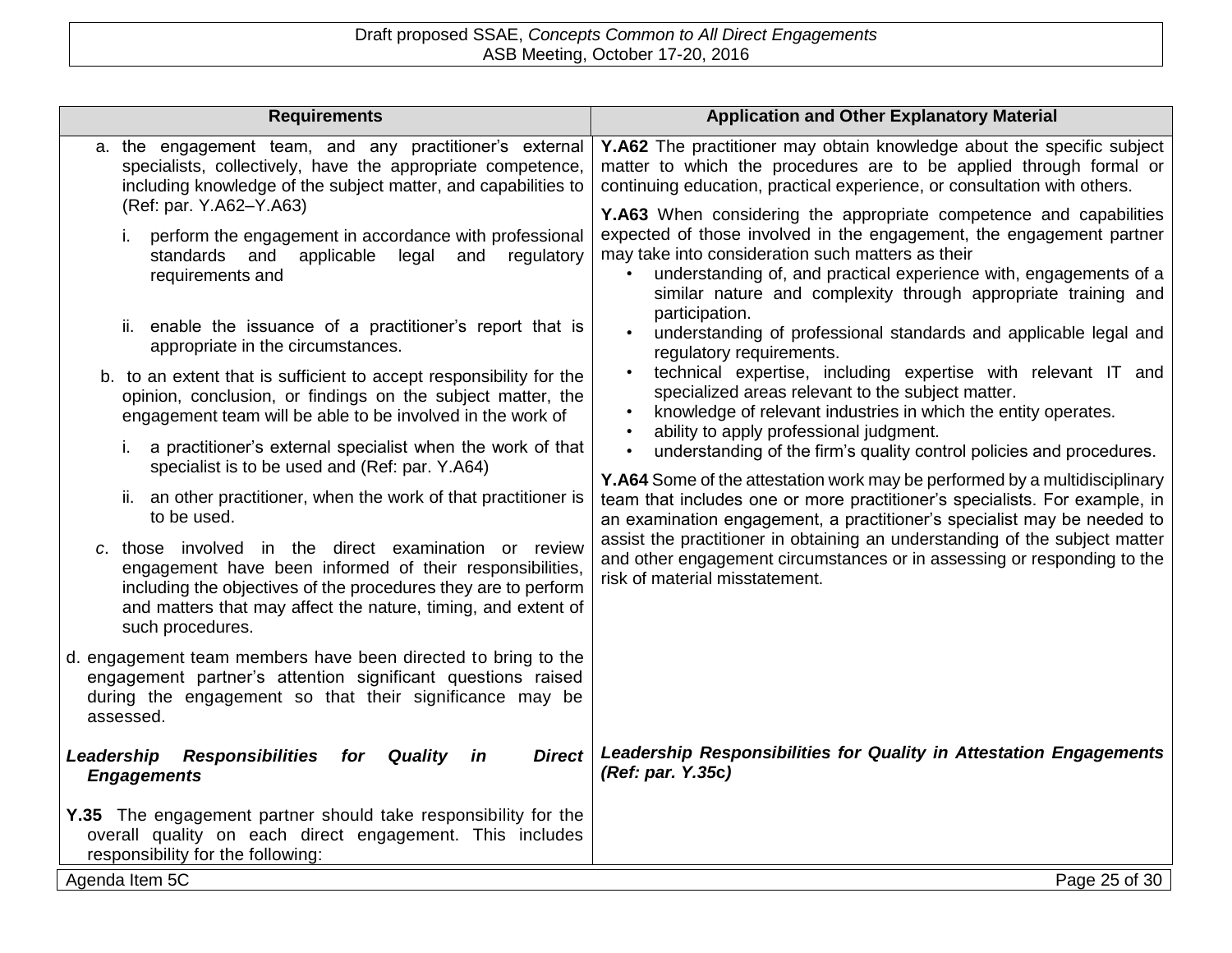| <b>Requirements</b>                                                                                                                                                                                                                                                      | <b>Application and Other Explanatory Material</b>                                                                                                                                                                                                                                                                                      |
|--------------------------------------------------------------------------------------------------------------------------------------------------------------------------------------------------------------------------------------------------------------------------|----------------------------------------------------------------------------------------------------------------------------------------------------------------------------------------------------------------------------------------------------------------------------------------------------------------------------------------|
| a. the engagement team, and any practitioner's external<br>specialists, collectively, have the appropriate competence,<br>including knowledge of the subject matter, and capabilities to<br>(Ref: par. Y.A62-Y.A63)                                                      | Y.A62 The practitioner may obtain knowledge about the specific subject<br>matter to which the procedures are to be applied through formal or<br>continuing education, practical experience, or consultation with others.                                                                                                               |
| perform the engagement in accordance with professional<br>standards and<br>applicable<br>and regulatory<br>legal<br>requirements and                                                                                                                                     | Y.A63 When considering the appropriate competence and capabilities<br>expected of those involved in the engagement, the engagement partner<br>may take into consideration such matters as their<br>understanding of, and practical experience with, engagements of a<br>similar nature and complexity through appropriate training and |
| ii. enable the issuance of a practitioner's report that is<br>appropriate in the circumstances.                                                                                                                                                                          | participation.<br>understanding of professional standards and applicable legal and<br>regulatory requirements.                                                                                                                                                                                                                         |
| b. to an extent that is sufficient to accept responsibility for the<br>opinion, conclusion, or findings on the subject matter, the<br>engagement team will be able to be involved in the work of                                                                         | technical expertise, including expertise with relevant IT and<br>specialized areas relevant to the subject matter.<br>knowledge of relevant industries in which the entity operates.                                                                                                                                                   |
| a practitioner's external specialist when the work of that<br>İ.<br>specialist is to be used and (Ref: par. Y.A64)                                                                                                                                                       | ability to apply professional judgment.<br>understanding of the firm's quality control policies and procedures.<br>Y.A64 Some of the attestation work may be performed by a multidisciplinary                                                                                                                                          |
| ii. an other practitioner, when the work of that practitioner is<br>to be used.                                                                                                                                                                                          | team that includes one or more practitioner's specialists. For example, in<br>an examination engagement, a practitioner's specialist may be needed to                                                                                                                                                                                  |
| c. those involved in the direct examination or review<br>engagement have been informed of their responsibilities,<br>including the objectives of the procedures they are to perform<br>and matters that may affect the nature, timing, and extent of<br>such procedures. | assist the practitioner in obtaining an understanding of the subject matter<br>and other engagement circumstances or in assessing or responding to the<br>risk of material misstatement.                                                                                                                                               |
| d. engagement team members have been directed to bring to the<br>engagement partner's attention significant questions raised<br>during the engagement so that their significance may be<br>assessed.                                                                     |                                                                                                                                                                                                                                                                                                                                        |
| <b>Responsibilities</b><br>Quality<br><b>Direct</b><br>Leadership<br>for<br>in<br><b>Engagements</b>                                                                                                                                                                     | Leadership Responsibilities for Quality in Attestation Engagements<br>(Ref: par. Y.35c)                                                                                                                                                                                                                                                |
| Y.35 The engagement partner should take responsibility for the<br>overall quality on each direct engagement. This includes<br>responsibility for the following:                                                                                                          |                                                                                                                                                                                                                                                                                                                                        |
| Agenda Item 5C                                                                                                                                                                                                                                                           | Page 25 of 30                                                                                                                                                                                                                                                                                                                          |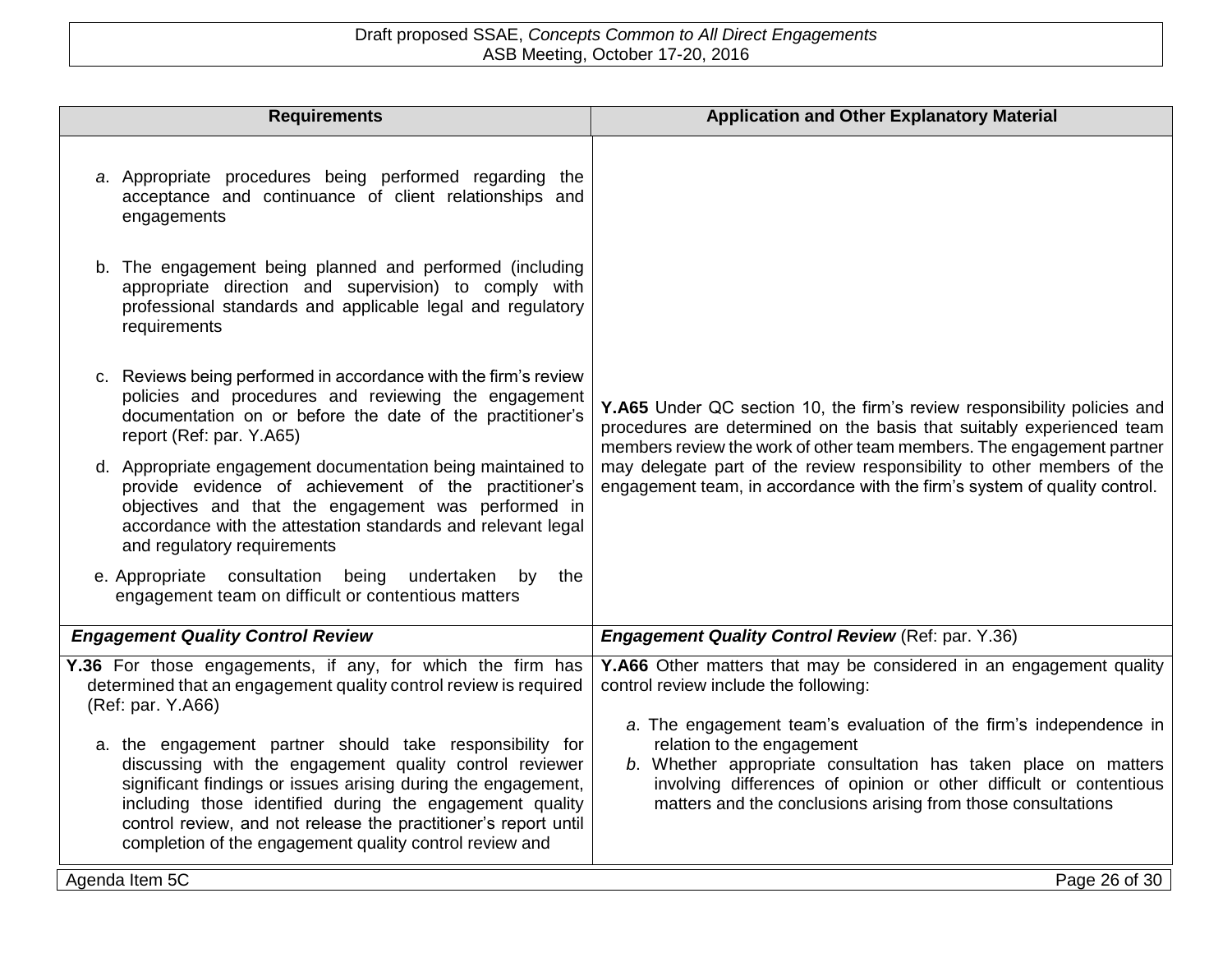| <b>Requirements</b>                                                                                                                                                                                                                                                                                                                                                            | <b>Application and Other Explanatory Material</b>                                                                                                                                                                                                                                                       |
|--------------------------------------------------------------------------------------------------------------------------------------------------------------------------------------------------------------------------------------------------------------------------------------------------------------------------------------------------------------------------------|---------------------------------------------------------------------------------------------------------------------------------------------------------------------------------------------------------------------------------------------------------------------------------------------------------|
| a. Appropriate procedures being performed regarding the<br>acceptance and continuance of client relationships and<br>engagements                                                                                                                                                                                                                                               |                                                                                                                                                                                                                                                                                                         |
| b. The engagement being planned and performed (including<br>appropriate direction and supervision) to comply with<br>professional standards and applicable legal and regulatory<br>requirements                                                                                                                                                                                |                                                                                                                                                                                                                                                                                                         |
| c. Reviews being performed in accordance with the firm's review<br>policies and procedures and reviewing the engagement<br>documentation on or before the date of the practitioner's<br>report (Ref: par. Y.A65)                                                                                                                                                               | Y.A65 Under QC section 10, the firm's review responsibility policies and<br>procedures are determined on the basis that suitably experienced team<br>members review the work of other team members. The engagement partner                                                                              |
| d. Appropriate engagement documentation being maintained to<br>provide evidence of achievement of the practitioner's<br>objectives and that the engagement was performed in<br>accordance with the attestation standards and relevant legal<br>and regulatory requirements                                                                                                     | may delegate part of the review responsibility to other members of the<br>engagement team, in accordance with the firm's system of quality control.                                                                                                                                                     |
| e. Appropriate consultation being undertaken<br>by<br>the<br>engagement team on difficult or contentious matters                                                                                                                                                                                                                                                               |                                                                                                                                                                                                                                                                                                         |
| <b>Engagement Quality Control Review</b>                                                                                                                                                                                                                                                                                                                                       | <b>Engagement Quality Control Review (Ref: par. Y.36)</b>                                                                                                                                                                                                                                               |
| Y.36 For those engagements, if any, for which the firm has<br>determined that an engagement quality control review is required<br>(Ref: par. Y.A66)                                                                                                                                                                                                                            | Y.A66 Other matters that may be considered in an engagement quality<br>control review include the following:                                                                                                                                                                                            |
| a. the engagement partner should take responsibility for<br>discussing with the engagement quality control reviewer<br>significant findings or issues arising during the engagement,<br>including those identified during the engagement quality<br>control review, and not release the practitioner's report until<br>completion of the engagement quality control review and | a. The engagement team's evaluation of the firm's independence in<br>relation to the engagement<br>b. Whether appropriate consultation has taken place on matters<br>involving differences of opinion or other difficult or contentious<br>matters and the conclusions arising from those consultations |
| Agenda Item 5C                                                                                                                                                                                                                                                                                                                                                                 | Page 26 of 30                                                                                                                                                                                                                                                                                           |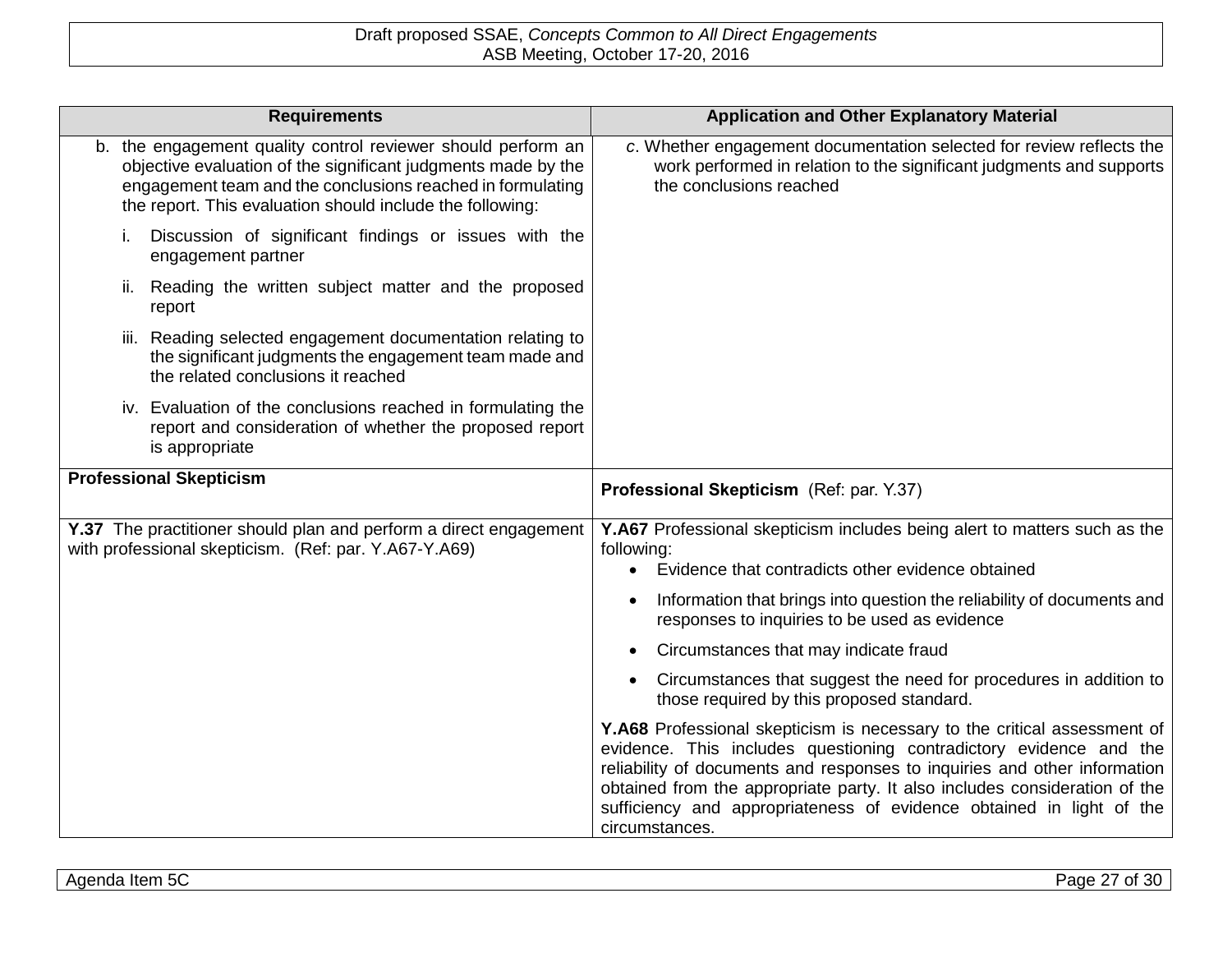| <b>Requirements</b>                                                                                                                                                                                                                                      | <b>Application and Other Explanatory Material</b>                                                                                                                                                                                                                                                                                                                                                   |
|----------------------------------------------------------------------------------------------------------------------------------------------------------------------------------------------------------------------------------------------------------|-----------------------------------------------------------------------------------------------------------------------------------------------------------------------------------------------------------------------------------------------------------------------------------------------------------------------------------------------------------------------------------------------------|
| b. the engagement quality control reviewer should perform an<br>objective evaluation of the significant judgments made by the<br>engagement team and the conclusions reached in formulating<br>the report. This evaluation should include the following: | c. Whether engagement documentation selected for review reflects the<br>work performed in relation to the significant judgments and supports<br>the conclusions reached                                                                                                                                                                                                                             |
| Discussion of significant findings or issues with the<br>engagement partner                                                                                                                                                                              |                                                                                                                                                                                                                                                                                                                                                                                                     |
| ii. Reading the written subject matter and the proposed<br>report                                                                                                                                                                                        |                                                                                                                                                                                                                                                                                                                                                                                                     |
| iii. Reading selected engagement documentation relating to<br>the significant judgments the engagement team made and<br>the related conclusions it reached                                                                                               |                                                                                                                                                                                                                                                                                                                                                                                                     |
| iv. Evaluation of the conclusions reached in formulating the<br>report and consideration of whether the proposed report<br>is appropriate                                                                                                                |                                                                                                                                                                                                                                                                                                                                                                                                     |
| <b>Professional Skepticism</b>                                                                                                                                                                                                                           | Professional Skepticism (Ref: par. Y.37)                                                                                                                                                                                                                                                                                                                                                            |
| Y.37 The practitioner should plan and perform a direct engagement<br>with professional skepticism. (Ref: par. Y.A67-Y.A69)                                                                                                                               | Y.A67 Professional skepticism includes being alert to matters such as the<br>following:                                                                                                                                                                                                                                                                                                             |
|                                                                                                                                                                                                                                                          | Evidence that contradicts other evidence obtained<br>$\bullet$                                                                                                                                                                                                                                                                                                                                      |
|                                                                                                                                                                                                                                                          | Information that brings into question the reliability of documents and<br>٠<br>responses to inquiries to be used as evidence                                                                                                                                                                                                                                                                        |
|                                                                                                                                                                                                                                                          | Circumstances that may indicate fraud                                                                                                                                                                                                                                                                                                                                                               |
|                                                                                                                                                                                                                                                          | Circumstances that suggest the need for procedures in addition to<br>$\bullet$<br>those required by this proposed standard.                                                                                                                                                                                                                                                                         |
|                                                                                                                                                                                                                                                          | Y.A68 Professional skepticism is necessary to the critical assessment of<br>evidence. This includes questioning contradictory evidence and the<br>reliability of documents and responses to inquiries and other information<br>obtained from the appropriate party. It also includes consideration of the<br>sufficiency and appropriateness of evidence obtained in light of the<br>circumstances. |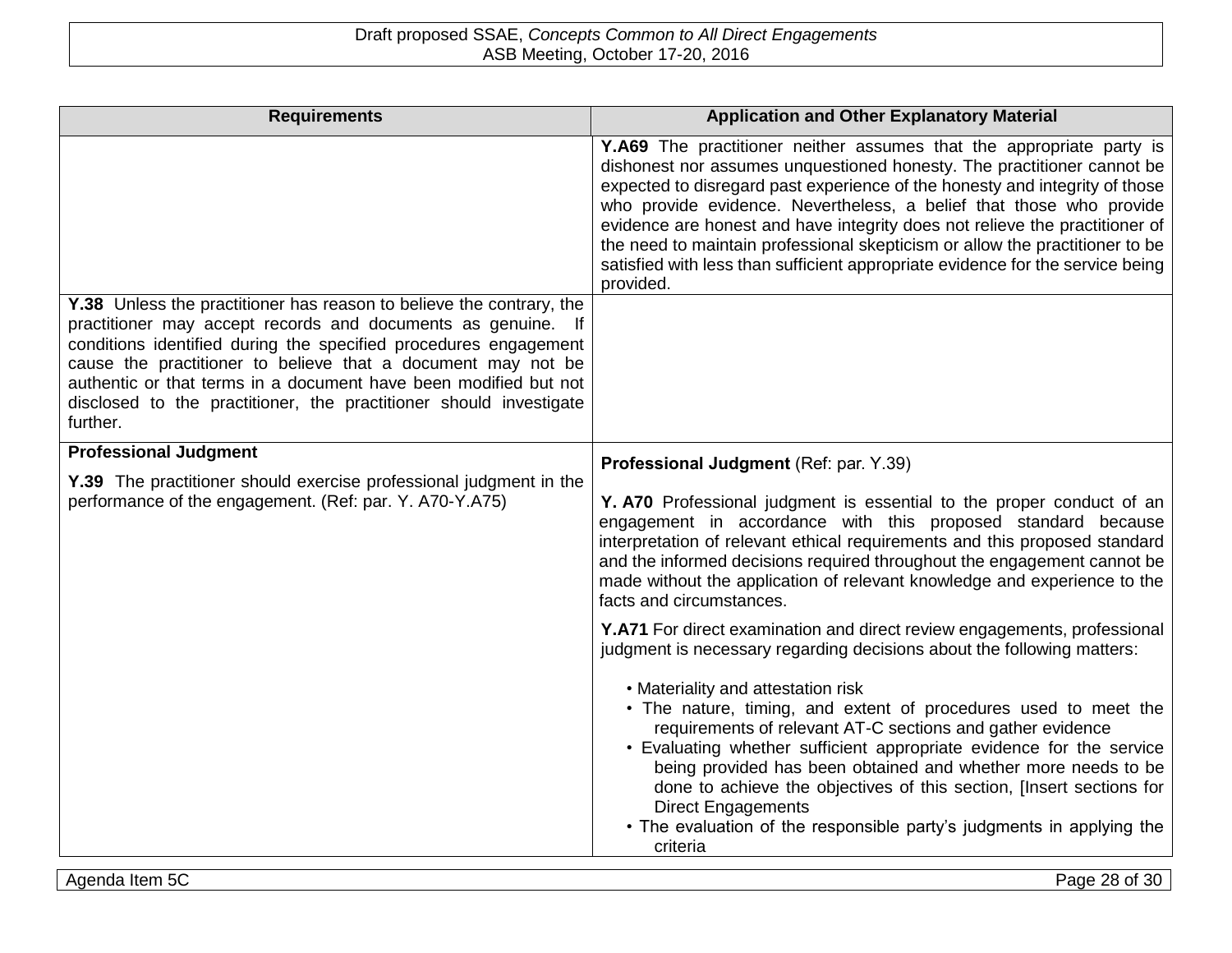| <b>Requirements</b>                                                                                                                                                                                                                                                                                                                                                                                                            | <b>Application and Other Explanatory Material</b>                                                                                                                                                                                                                                                                                                                                                                                                                                                                                                                  |
|--------------------------------------------------------------------------------------------------------------------------------------------------------------------------------------------------------------------------------------------------------------------------------------------------------------------------------------------------------------------------------------------------------------------------------|--------------------------------------------------------------------------------------------------------------------------------------------------------------------------------------------------------------------------------------------------------------------------------------------------------------------------------------------------------------------------------------------------------------------------------------------------------------------------------------------------------------------------------------------------------------------|
|                                                                                                                                                                                                                                                                                                                                                                                                                                | Y.A69 The practitioner neither assumes that the appropriate party is<br>dishonest nor assumes unquestioned honesty. The practitioner cannot be<br>expected to disregard past experience of the honesty and integrity of those<br>who provide evidence. Nevertheless, a belief that those who provide<br>evidence are honest and have integrity does not relieve the practitioner of<br>the need to maintain professional skepticism or allow the practitioner to be<br>satisfied with less than sufficient appropriate evidence for the service being<br>provided. |
| Y.38 Unless the practitioner has reason to believe the contrary, the<br>practitioner may accept records and documents as genuine. If<br>conditions identified during the specified procedures engagement<br>cause the practitioner to believe that a document may not be<br>authentic or that terms in a document have been modified but not<br>disclosed to the practitioner, the practitioner should investigate<br>further. |                                                                                                                                                                                                                                                                                                                                                                                                                                                                                                                                                                    |
| <b>Professional Judgment</b>                                                                                                                                                                                                                                                                                                                                                                                                   | Professional Judgment (Ref: par. Y.39)                                                                                                                                                                                                                                                                                                                                                                                                                                                                                                                             |
| Y.39 The practitioner should exercise professional judgment in the<br>performance of the engagement. (Ref: par. Y. A70-Y.A75)                                                                                                                                                                                                                                                                                                  | Y. A70 Professional judgment is essential to the proper conduct of an<br>engagement in accordance with this proposed standard because<br>interpretation of relevant ethical requirements and this proposed standard<br>and the informed decisions required throughout the engagement cannot be<br>made without the application of relevant knowledge and experience to the<br>facts and circumstances.                                                                                                                                                             |
|                                                                                                                                                                                                                                                                                                                                                                                                                                | Y.A71 For direct examination and direct review engagements, professional<br>judgment is necessary regarding decisions about the following matters:                                                                                                                                                                                                                                                                                                                                                                                                                 |
|                                                                                                                                                                                                                                                                                                                                                                                                                                | • Materiality and attestation risk<br>• The nature, timing, and extent of procedures used to meet the<br>requirements of relevant AT-C sections and gather evidence<br>• Evaluating whether sufficient appropriate evidence for the service<br>being provided has been obtained and whether more needs to be<br>done to achieve the objectives of this section, [Insert sections for<br><b>Direct Engagements</b><br>• The evaluation of the responsible party's judgments in applying the<br>criteria                                                             |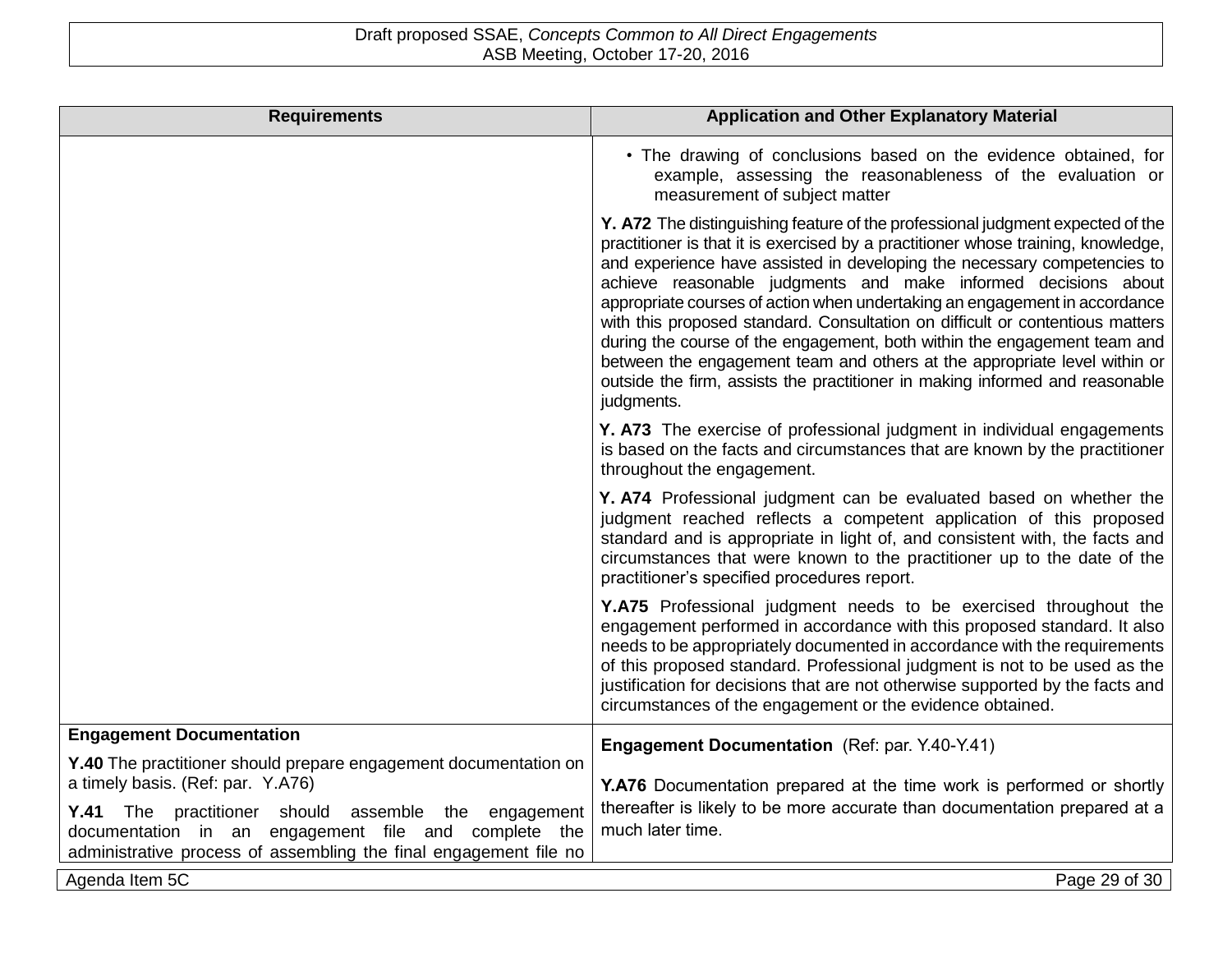| <b>Requirements</b>                                                                                                       | <b>Application and Other Explanatory Material</b>                                                                                                                                                                                                                                                                                                                                                                                                                                                                                                                                                                                                                                                                                       |
|---------------------------------------------------------------------------------------------------------------------------|-----------------------------------------------------------------------------------------------------------------------------------------------------------------------------------------------------------------------------------------------------------------------------------------------------------------------------------------------------------------------------------------------------------------------------------------------------------------------------------------------------------------------------------------------------------------------------------------------------------------------------------------------------------------------------------------------------------------------------------------|
|                                                                                                                           | • The drawing of conclusions based on the evidence obtained, for<br>example, assessing the reasonableness of the evaluation or<br>measurement of subject matter                                                                                                                                                                                                                                                                                                                                                                                                                                                                                                                                                                         |
|                                                                                                                           | Y. A72 The distinguishing feature of the professional judgment expected of the<br>practitioner is that it is exercised by a practitioner whose training, knowledge,<br>and experience have assisted in developing the necessary competencies to<br>achieve reasonable judgments and make informed decisions about<br>appropriate courses of action when undertaking an engagement in accordance<br>with this proposed standard. Consultation on difficult or contentious matters<br>during the course of the engagement, both within the engagement team and<br>between the engagement team and others at the appropriate level within or<br>outside the firm, assists the practitioner in making informed and reasonable<br>judgments. |
|                                                                                                                           | Y. A73 The exercise of professional judgment in individual engagements<br>is based on the facts and circumstances that are known by the practitioner<br>throughout the engagement.                                                                                                                                                                                                                                                                                                                                                                                                                                                                                                                                                      |
|                                                                                                                           | Y. A74 Professional judgment can be evaluated based on whether the<br>judgment reached reflects a competent application of this proposed<br>standard and is appropriate in light of, and consistent with, the facts and<br>circumstances that were known to the practitioner up to the date of the<br>practitioner's specified procedures report.                                                                                                                                                                                                                                                                                                                                                                                       |
|                                                                                                                           | Y.A75 Professional judgment needs to be exercised throughout the<br>engagement performed in accordance with this proposed standard. It also<br>needs to be appropriately documented in accordance with the requirements<br>of this proposed standard. Professional judgment is not to be used as the<br>justification for decisions that are not otherwise supported by the facts and<br>circumstances of the engagement or the evidence obtained.                                                                                                                                                                                                                                                                                      |
| <b>Engagement Documentation</b>                                                                                           | Engagement Documentation (Ref: par. Y.40-Y.41)                                                                                                                                                                                                                                                                                                                                                                                                                                                                                                                                                                                                                                                                                          |
| Y.40 The practitioner should prepare engagement documentation on<br>a timely basis. (Ref: par. Y.A76)                     |                                                                                                                                                                                                                                                                                                                                                                                                                                                                                                                                                                                                                                                                                                                                         |
| Y.41 The practitioner should assemble the engagement                                                                      | Y.A76 Documentation prepared at the time work is performed or shortly<br>thereafter is likely to be more accurate than documentation prepared at a                                                                                                                                                                                                                                                                                                                                                                                                                                                                                                                                                                                      |
| documentation in an engagement file and complete the<br>administrative process of assembling the final engagement file no | much later time.                                                                                                                                                                                                                                                                                                                                                                                                                                                                                                                                                                                                                                                                                                                        |
| Agenda Item 5C                                                                                                            | Page 29 of 30                                                                                                                                                                                                                                                                                                                                                                                                                                                                                                                                                                                                                                                                                                                           |